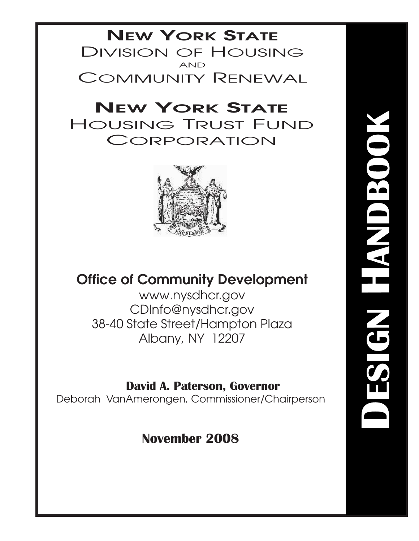## **NEW YORK STATE** DIVISION OF HOUSING AND COMMUNITY RENEWAL

## **NEW YORK STATE** HOUSING TRUST FUND CORPORATION



## **Office of Community Development**

www.nysdhcr.gov CDInfo@nysdhcr.gov 38-40 State Street/Hampton Plaza Albany, NY 12207

## **David A. Paterson, Governor**

Deborah VanAmerongen, Commissioner/Chairperson

## **November 2008**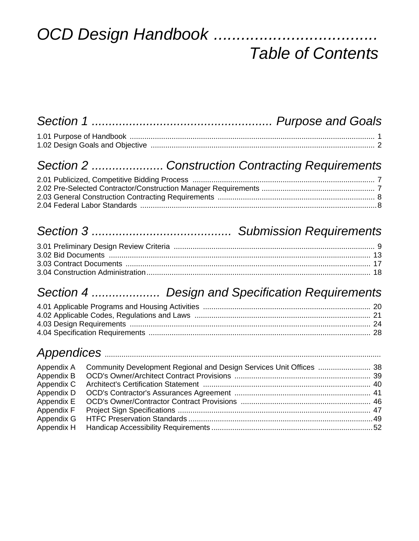# OCD Design Handbook ..........................

# *Table of Contents*

## *Section 2 ..................... Construction Contracting Requirements*

## *Section 3 ......................................... Submission Requirements*

## *Section 4 .................... Design and Specification Requirements*

## *Appendices* ....................................................................................................................................

| Appendix A<br>Appendix B<br>Appendix C<br>Appendix D<br>Appendix E<br>Appendix F |  |
|----------------------------------------------------------------------------------|--|
|                                                                                  |  |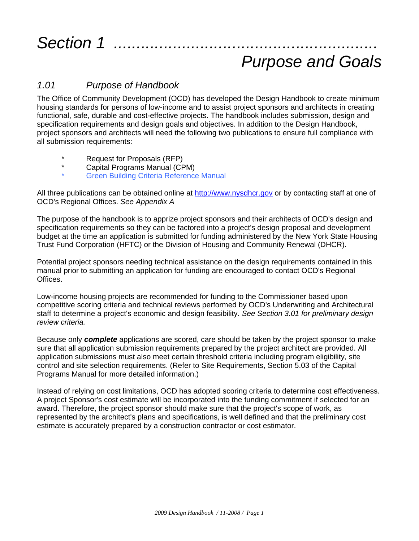## *Section 1 ....*

# *Purpose and Goals*

## *1.01 Purpose of Handbook*

The Office of Community Development (OCD) has developed the Design Handbook to create minimum housing standards for persons of low-income and to assist project sponsors and architects in creating functional, safe, durable and cost-effective projects. The handbook includes submission, design and specification requirements and design goals and objectives. In addition to the Design Handbook, project sponsors and architects will need the following two publications to ensure full compliance with all submission requirements:

- \* Request for Proposals (RFP)
- Capital Programs Manual (CPM)
- **Green Building Criteria Reference Manual**

All three publications can be obtained online at http://www.nysdhcr.gov or by contacting staff at one of OCD's Regional Offices. *See Appendix A*

The purpose of the handbook is to apprize project sponsors and their architects of OCD's design and specification requirements so they can be factored into a project's design proposal and development budget at the time an application is submitted for funding administered by the New York State Housing Trust Fund Corporation (HFTC) or the Division of Housing and Community Renewal (DHCR).

Potential project sponsors needing technical assistance on the design requirements contained in this manual prior to submitting an application for funding are encouraged to contact OCD's Regional Offices.

Low-income housing projects are recommended for funding to the Commissioner based upon competitive scoring criteria and technical reviews performed by OCD's Underwriting and Architectural staff to determine a project's economic and design feasibility. *See Section 3.01 for preliminary design review criteria.*

Because only *complete* applications are scored, care should be taken by the project sponsor to make sure that all application submission requirements prepared by the project architect are provided. All application submissions must also meet certain threshold criteria including program eligibility, site control and site selection requirements. (Refer to Site Requirements, Section 5.03 of the Capital Programs Manual for more detailed information.)

Instead of relying on cost limitations, OCD has adopted scoring criteria to determine cost effectiveness. A project Sponsor's cost estimate will be incorporated into the funding commitment if selected for an award. Therefore, the project sponsor should make sure that the project's scope of work, as represented by the architect's plans and specifications, is well defined and that the preliminary cost estimate is accurately prepared by a construction contractor or cost estimator.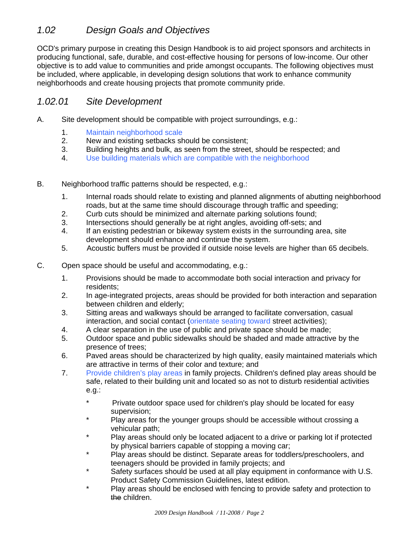## *1.02 Design Goals and Objectives*

OCD's primary purpose in creating this Design Handbook is to aid project sponsors and architects in producing functional, safe, durable, and cost-effective housing for persons of low-income. Our other objective is to add value to communities and pride amongst occupants. The following objectives must be included, where applicable, in developing design solutions that work to enhance community neighborhoods and create housing projects that promote community pride.

### *1.02.01 Site Development*

- A. Site development should be compatible with project surroundings, e.g.:
	- 1. Maintain neighborhood scale
	- 2. New and existing setbacks should be consistent;
	- 3. Building heights and bulk, as seen from the street, should be respected; and
	- 4. Use building materials which are compatible with the neighborhood
- B. Neighborhood traffic patterns should be respected, e.g.:
	- 1. Internal roads should relate to existing and planned alignments of abutting neighborhood roads, but at the same time should discourage through traffic and speeding;
	- 2. Curb cuts should be minimized and alternate parking solutions found;
	- 3. Intersections should generally be at right angles, avoiding off-sets; and
	- 4. If an existing pedestrian or bikeway system exists in the surrounding area, site development should enhance and continue the system.
	- 5. Acoustic buffers must be provided if outside noise levels are higher than 65 decibels.
- C. Open space should be useful and accommodating, e.g.:
	- 1. Provisions should be made to accommodate both social interaction and privacy for residents;
	- 2. In age-integrated projects, areas should be provided for both interaction and separation between children and elderly;
	- 3. Sitting areas and walkways should be arranged to facilitate conversation, casual interaction, and social contact (orientate seating toward street activities);
	- 4. A clear separation in the use of public and private space should be made;
	- 5. Outdoor space and public sidewalks should be shaded and made attractive by the presence of trees;
	- 6. Paved areas should be characterized by high quality, easily maintained materials which are attractive in terms of their color and texture; and
	- 7. Provide children's play areas in family projects. Children's defined play areas should be safe, related to their building unit and located so as not to disturb residential activities e.g.:
		- \* Private outdoor space used for children's play should be located for easy supervision;
		- Play areas for the younger groups should be accessible without crossing a vehicular path;
		- Play areas should only be located adjacent to a drive or parking lot if protected by physical barriers capable of stopping a moving car;
		- Play areas should be distinct. Separate areas for toddlers/preschoolers, and teenagers should be provided in family projects; and
		- \* Safety surfaces should be used at all play equipment in conformance with U.S. Product Safety Commission Guidelines, latest edition.
		- Play areas should be enclosed with fencing to provide safety and protection to the children.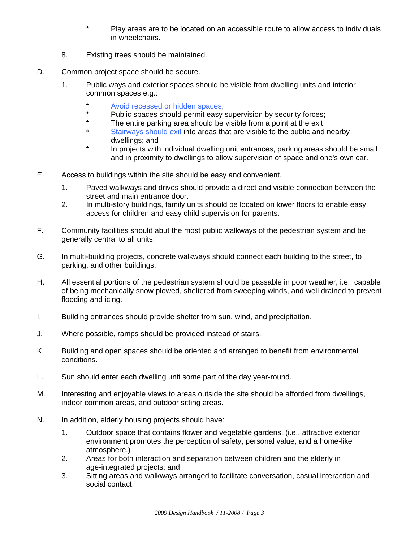- \* Play areas are to be located on an accessible route to allow access to individuals in wheelchairs.
- 8. Existing trees should be maintained.
- D. Common project space should be secure.
	- 1. Public ways and exterior spaces should be visible from dwelling units and interior common spaces e.g.:
		- \* Avoid recessed or hidden spaces;
		- \* Public spaces should permit easy supervision by security forces;<br>\* The entire parking area should be visible from a point at the exit:
		- \* The entire parking area should be visible from a point at the exit;<br>\* Stainways should exit into areas that are visible to the public and
		- Stairways should exit into areas that are visible to the public and nearby dwellings; and
		- \* In projects with individual dwelling unit entrances, parking areas should be small and in proximity to dwellings to allow supervision of space and one's own car.
- E. Access to buildings within the site should be easy and convenient.
	- 1. Paved walkways and drives should provide a direct and visible connection between the street and main entrance door.
	- 2. In multi-story buildings, family units should be located on lower floors to enable easy access for children and easy child supervision for parents.
- F. Community facilities should abut the most public walkways of the pedestrian system and be generally central to all units.
- G. In multi-building projects, concrete walkways should connect each building to the street, to parking, and other buildings.
- H. All essential portions of the pedestrian system should be passable in poor weather, i.e., capable of being mechanically snow plowed, sheltered from sweeping winds, and well drained to prevent flooding and icing.
- I. Building entrances should provide shelter from sun, wind, and precipitation.
- J. Where possible, ramps should be provided instead of stairs.
- K. Building and open spaces should be oriented and arranged to benefit from environmental conditions.
- L. Sun should enter each dwelling unit some part of the day year-round.
- M. Interesting and enjoyable views to areas outside the site should be afforded from dwellings, indoor common areas, and outdoor sitting areas.
- N. In addition, elderly housing projects should have:
	- 1. Outdoor space that contains flower and vegetable gardens, (i.e., attractive exterior environment promotes the perception of safety, personal value, and a home-like atmosphere.)
	- 2. Areas for both interaction and separation between children and the elderly in age-integrated projects; and
	- 3. Sitting areas and walkways arranged to facilitate conversation, casual interaction and social contact.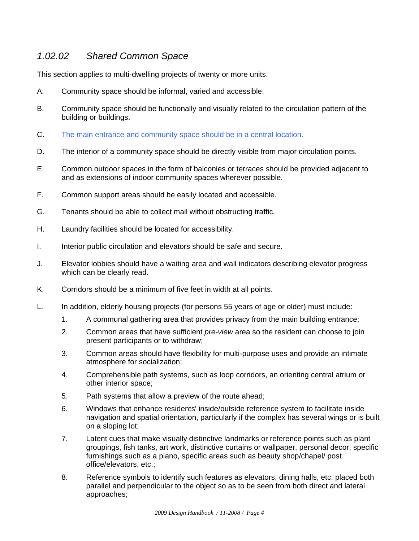## *1.02.02 Shared Common Space*

This section applies to multi-dwelling projects of twenty or more units.

- A. Community space should be informal, varied and accessible.
- B. Community space should be functionally and visually related to the circulation pattern of the building or buildings.
- C. The main entrance and community space should be in a central location.
- D. The interior of a community space should be directly visible from major circulation points.
- E. Common outdoor spaces in the form of balconies or terraces should be provided adjacent to and as extensions of indoor community spaces wherever possible.
- F. Common support areas should be easily located and accessible.
- G. Tenants should be able to collect mail without obstructing traffic.
- H. Laundry facilities should be located for accessibility.
- I. Interior public circulation and elevators should be safe and secure.
- J. Elevator lobbies should have a waiting area and wall indicators describing elevator progress which can be clearly read.
- K. Corridors should be a minimum of five feet in width at all points.
- L. In addition, elderly housing projects (for persons 55 years of age or older) must include:
	- 1. A communal gathering area that provides privacy from the main building entrance;
	- 2. Common areas that have sufficient *pre-view* area so the resident can choose to join present participants or to withdraw;
	- 3. Common areas should have flexibility for multi-purpose uses and provide an intimate atmosphere for socialization;
	- 4. Comprehensible path systems, such as loop corridors, an orienting central atrium or other interior space;
	- 5. Path systems that allow a preview of the route ahead;
	- 6. Windows that enhance residents' inside/outside reference system to facilitate inside navigation and spatial orientation, particularly if the complex has several wings or is built on a sloping lot;
	- 7. Latent cues that make visually distinctive landmarks or reference points such as plant groupings, fish tanks, art work, distinctive curtains or wallpaper, personal decor, specific furnishings such as a piano, specific areas such as beauty shop/chapel/ post office/elevators, etc.;
	- 8. Reference symbols to identify such features as elevators, dining halls, etc. placed both parallel and perpendicular to the object so as to be seen from both direct and lateral approaches;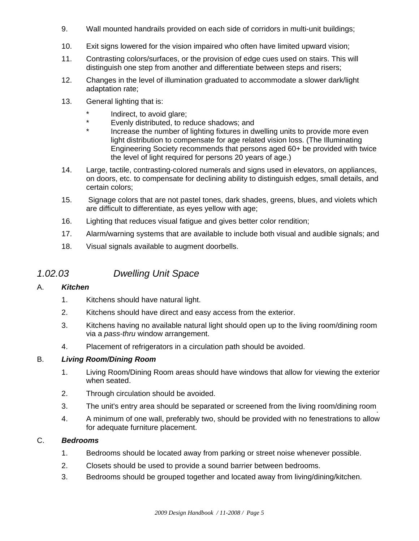- 9. Wall mounted handrails provided on each side of corridors in multi-unit buildings;
- 10. Exit signs lowered for the vision impaired who often have limited upward vision;
- 11. Contrasting colors/surfaces, or the provision of edge cues used on stairs. This will distinguish one step from another and differentiate between steps and risers;
- 12. Changes in the level of illumination graduated to accommodate a slower dark/light adaptation rate;
- 13. General lighting that is:
	- \* Indirect, to avoid glare;<br>Negative distributed to ref
	- \* Evenly distributed, to reduce shadows; and<br>\* locrosse the number of lighting fixtures in di-
	- Increase the number of lighting fixtures in dwelling units to provide more even light distribution to compensate for age related vision loss. (The Illuminating Engineering Society recommends that persons aged 60+ be provided with twice the level of light required for persons 20 years of age.)
- 14. Large, tactile, contrasting-colored numerals and signs used in elevators, on appliances, on doors, etc. to compensate for declining ability to distinguish edges, small details, and certain colors;
- 15. Signage colors that are not pastel tones, dark shades, greens, blues, and violets which are difficult to differentiate, as eyes yellow with age;
- 16. Lighting that reduces visual fatigue and gives better color rendition;
- 17. Alarm/warning systems that are available to include both visual and audible signals; and
- 18. Visual signals available to augment doorbells.

## *1.02.03 Dwelling Unit Space*

#### A. *Kitchen*

- 1. Kitchens should have natural light.
- 2. Kitchens should have direct and easy access from the exterior.
- 3. Kitchens having no available natural light should open up to the living room/dining room via a *pass-thru* window arrangement.
- 4. Placement of refrigerators in a circulation path should be avoided.

#### B. *Living Room/Dining Room*

- 1. Living Room/Dining Room areas should have windows that allow for viewing the exterior when seated.
- 2. Through circulation should be avoided.
- 3. The unit's entry area should be separated or screened from the living room/dining room.
- 4. A minimum of one wall, preferably two, should be provided with no fenestrations to allow for adequate furniture placement.

#### C. *Bedrooms*

- 1. Bedrooms should be located away from parking or street noise whenever possible.
- 2. Closets should be used to provide a sound barrier between bedrooms.
- 3. Bedrooms should be grouped together and located away from living/dining/kitchen.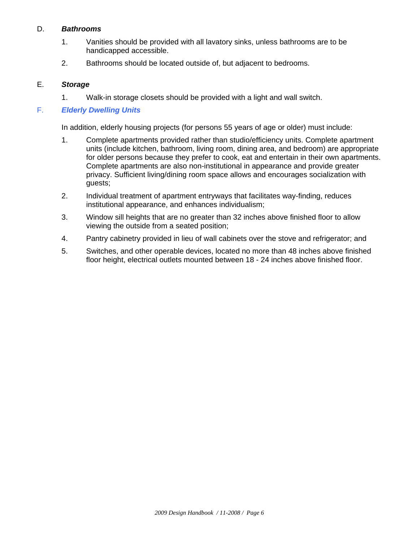#### D. *Bathrooms*

- 1. Vanities should be provided with all lavatory sinks, unless bathrooms are to be handicapped accessible.
- 2. Bathrooms should be located outside of, but adjacent to bedrooms.

#### E. *Storage*

1. Walk-in storage closets should be provided with a light and wall switch.

#### F. *Elderly Dwelling Units*

In addition, elderly housing projects (for persons 55 years of age or older) must include:

- 1. Complete apartments provided rather than studio/efficiency units. Complete apartment units (include kitchen, bathroom, living room, dining area, and bedroom) are appropriate for older persons because they prefer to cook, eat and entertain in their own apartments. Complete apartments are also non-institutional in appearance and provide greater privacy. Sufficient living/dining room space allows and encourages socialization with guests;
- 2. Individual treatment of apartment entryways that facilitates way-finding, reduces institutional appearance, and enhances individualism;
- 3. Window sill heights that are no greater than 32 inches above finished floor to allow viewing the outside from a seated position;
- 4. Pantry cabinetry provided in lieu of wall cabinets over the stove and refrigerator; and
- 5. Switches, and other operable devices, located no more than 48 inches above finished floor height, electrical outlets mounted between 18 - 24 inches above finished floor.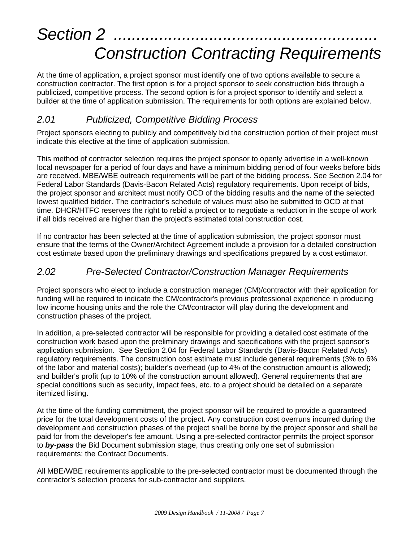# Section 2 *Construction Contracting Requirements*

At the time of application, a project sponsor must identify one of two options available to secure a construction contractor. The first option is for a project sponsor to seek construction bids through a publicized, competitive process. The second option is for a project sponsor to identify and select a builder at the time of application submission. The requirements for both options are explained below.

## *2.01 Publicized, Competitive Bidding Process*

Project sponsors electing to publicly and competitively bid the construction portion of their project must indicate this elective at the time of application submission.

This method of contractor selection requires the project sponsor to openly advertise in a well-known local newspaper for a period of four days and have a minimum bidding period of four weeks before bids are received. MBE/WBE outreach requirements will be part of the bidding process. See Section 2.04 for Federal Labor Standards (Davis-Bacon Related Acts) regulatory requirements. Upon receipt of bids, the project sponsor and architect must notify OCD of the bidding results and the name of the selected lowest qualified bidder. The contractor's schedule of values must also be submitted to OCD at that time. DHCR/HTFC reserves the right to rebid a project or to negotiate a reduction in the scope of work if all bids received are higher than the project's estimated total construction cost.

If no contractor has been selected at the time of application submission, the project sponsor must ensure that the terms of the Owner/Architect Agreement include a provision for a detailed construction cost estimate based upon the preliminary drawings and specifications prepared by a cost estimator.

## *2.02 Pre-Selected Contractor/Construction Manager Requirements*

Project sponsors who elect to include a construction manager (CM)/contractor with their application for funding will be required to indicate the CM/contractor's previous professional experience in producing low income housing units and the role the CM/contractor will play during the development and construction phases of the project.

In addition, a pre-selected contractor will be responsible for providing a detailed cost estimate of the construction work based upon the preliminary drawings and specifications with the project sponsor's application submission. See Section 2.04 for Federal Labor Standards (Davis-Bacon Related Acts) regulatory requirements. The construction cost estimate must include general requirements (3% to 6% of the labor and material costs); builder's overhead (up to 4% of the construction amount is allowed); and builder's profit (up to 10% of the construction amount allowed). General requirements that are special conditions such as security, impact fees, etc. to a project should be detailed on a separate itemized listing.

At the time of the funding commitment, the project sponsor will be required to provide a guaranteed price for the total development costs of the project. Any construction cost overruns incurred during the development and construction phases of the project shall be borne by the project sponsor and shall be paid for from the developer's fee amount. Using a pre-selected contractor permits the project sponsor to *by-pass* the Bid Document submission stage, thus creating only one set of submission requirements: the Contract Documents.

All MBE/WBE requirements applicable to the pre-selected contractor must be documented through the contractor's selection process for sub-contractor and suppliers.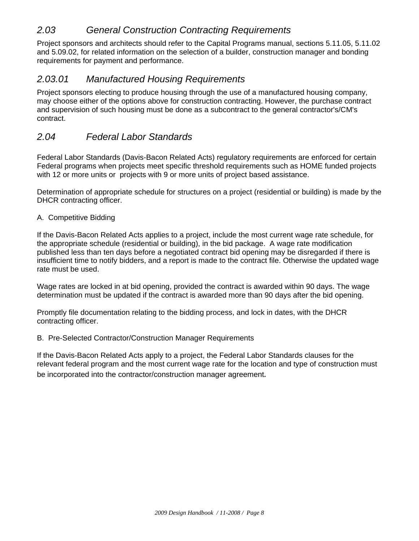## *2.03 General Construction Contracting Requirements*

Project sponsors and architects should refer to the Capital Programs manual, sections 5.11.05, 5.11.02 and 5.09.02, for related information on the selection of a builder, construction manager and bonding requirements for payment and performance.

### *2.03.01 Manufactured Housing Requirements*

Project sponsors electing to produce housing through the use of a manufactured housing company, may choose either of the options above for construction contracting. However, the purchase contract and supervision of such housing must be done as a subcontract to the general contractor's/CM's contract.

### *2.04 Federal Labor Standards*

Federal Labor Standards (Davis-Bacon Related Acts) regulatory requirements are enforced for certain Federal programs when projects meet specific threshold requirements such as HOME funded projects with 12 or more units or projects with 9 or more units of project based assistance.

Determination of appropriate schedule for structures on a project (residential or building) is made by the DHCR contracting officer.

#### A. Competitive Bidding

If the Davis-Bacon Related Acts applies to a project, include the most current wage rate schedule, for the appropriate schedule (residential or building), in the bid package. A wage rate modification published less than ten days before a negotiated contract bid opening may be disregarded if there is insufficient time to notify bidders, and a report is made to the contract file. Otherwise the updated wage rate must be used.

Wage rates are locked in at bid opening, provided the contract is awarded within 90 days. The wage determination must be updated if the contract is awarded more than 90 days after the bid opening.

Promptly file documentation relating to the bidding process, and lock in dates, with the DHCR contracting officer.

#### B. Pre-Selected Contractor/Construction Manager Requirements

If the Davis-Bacon Related Acts apply to a project, the Federal Labor Standards clauses for the relevant federal program and the most current wage rate for the location and type of construction must be incorporated into the contractor/construction manager agreement*.*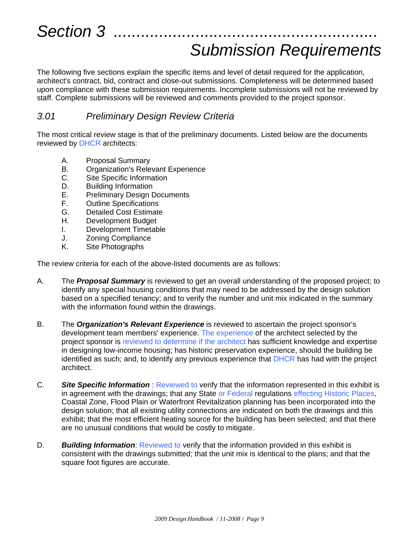## *Submission Requirements*

The following five sections explain the specific items and level of detail required for the application, architect's contract, bid, contract and close-out submissions. Completeness will be determined based upon compliance with these submission requirements. Incomplete submissions will not be reviewed by staff. Complete submissions will be reviewed and comments provided to the project sponsor.

### *3.01 Preliminary Design Review Criteria*

The most critical review stage is that of the preliminary documents. Listed below are the documents reviewed by **DHCR** architects:

- A. Proposal Summary<br>B. Organization's Rele
- **Organization's Relevant Experience**
- C. Site Specific Information
- D. Building Information
- E. Preliminary Design Documents
- F. Outline Specifications
- G. Detailed Cost Estimate
- H. Development Budget
- I. Development Timetable
- J. Zoning Compliance
- K. Site Photographs

The review criteria for each of the above-listed documents are as follows:

- A. The *Proposal Summary* is reviewed to get an overall understanding of the proposed project; to identify any special housing conditions that may need to be addressed by the design solution based on a specified tenancy; and to verify the number and unit mix indicated in the summary with the information found within the drawings.
- B. The *Organization's Relevant Experience* is reviewed to ascertain the project sponsor's development team members' experience. The experience of the architect selected by the project sponsor is reviewed to determine if the architect has sufficient knowledge and expertise in designing low-income housing; has historic preservation experience, should the building be identified as such; and, to identify any previous experience that DHCR has had with the project architect.
- C. *Site Specific Information* : Reviewed to verify that the information represented in this exhibit is in agreement with the drawings; that any State or Federal regulations effecting Historic Places, Coastal Zone, Flood Plain or Waterfront Revitalization planning has been incorporated into the design solution; that all existing utility connections are indicated on both the drawings and this exhibit; that the most efficient heating source for the building has been selected; and that there are no unusual conditions that would be costly to mitigate.
- D. *Building Information*: Reviewed to verify that the information provided in this exhibit is consistent with the drawings submitted; that the unit mix is identical to the plans; and that the square foot figures are accurate.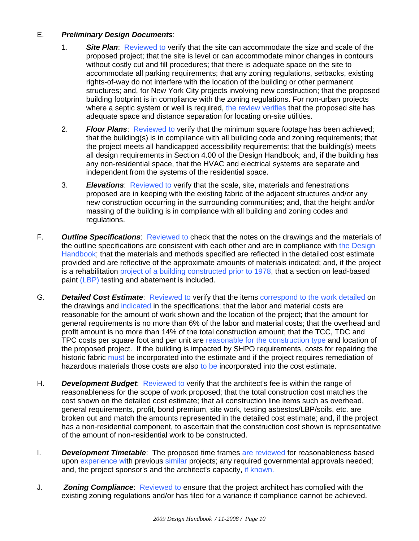#### E. *Preliminary Design Documents*:

- 1. *Site Plan*: Reviewed to verify that the site can accommodate the size and scale of the proposed project; that the site is level or can accommodate minor changes in contours without costly cut and fill procedures; that there is adequate space on the site to accommodate all parking requirements; that any zoning regulations, setbacks, existing rights-of-way do not interfere with the location of the building or other permanent structures; and, for New York City projects involving new construction; that the proposed building footprint is in compliance with the zoning regulations. For non-urban projects where a septic system or well is required, the review verifies that the proposed site has adequate space and distance separation for locating on-site utilities.
- 2. *Floor Plans*: Reviewed to verify that the minimum square footage has been achieved; that the building(s) is in compliance with all building code and zoning requirements; that the project meets all handicapped accessibility requirements: that the building(s) meets all design requirements in Section 4.00 of the Design Handbook; and, if the building has any non-residential space, that the HVAC and electrical systems are separate and independent from the systems of the residential space.
- 3. *Elevations*: Reviewed to verify that the scale, site, materials and fenestrations proposed are in keeping with the existing fabric of the adjacent structures and/or any new construction occurring in the surrounding communities; and, that the height and/or massing of the building is in compliance with all building and zoning codes and regulations.
- F. *Outline Specifications*: Reviewed to check that the notes on the drawings and the materials of the outline specifications are consistent with each other and are in compliance with the Design Handbook; that the materials and methods specified are reflected in the detailed cost estimate provided and are reflective of the approximate amounts of materials indicated; and, if the project is a rehabilitation project of a building constructed prior to 1978, that a section on lead-based paint (LBP) testing and abatement is included.
- G. *Detailed Cost Estimate*: Reviewed to verify that the items correspond to the work detailed on the drawings and indicated in the specifications; that the labor and material costs are reasonable for the amount of work shown and the location of the project; that the amount for general requirements is no more than 6% of the labor and material costs; that the overhead and profit amount is no more than 14% of the total construction amount; that the TCC, TDC and TPC costs per square foot and per unit are reasonable for the construction type and location of the proposed project. If the building is impacted by SHPO requirements, costs for repairing the historic fabric must be incorporated into the estimate and if the project requires remediation of hazardous materials those costs are also to be incorporated into the cost estimate.
- H. *Development Budget*: Reviewed to verify that the architect's fee is within the range of reasonableness for the scope of work proposed; that the total construction cost matches the cost shown on the detailed cost estimate; that all construction line items such as overhead, general requirements, profit, bond premium, site work, testing asbestos/LBP/soils, etc. are broken out and match the amounts represented in the detailed cost estimate; and, if the project has a non-residential component, to ascertain that the construction cost shown is representative of the amount of non-residential work to be constructed.
- I. *Development Timetable*: The proposed time frames are reviewed for reasonableness based upon experience with previous similar projects; any required governmental approvals needed; and, the project sponsor's and the architect's capacity, if known.
- J. *Zoning Compliance*: Reviewed to ensure that the project architect has complied with the existing zoning regulations and/or has filed for a variance if compliance cannot be achieved.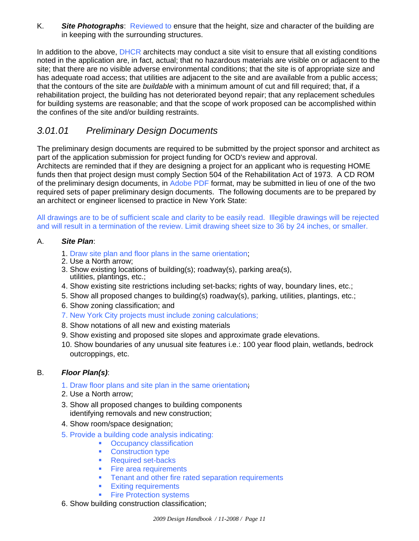K. *Site Photographs*: Reviewed to ensure that the height, size and character of the building are in keeping with the surrounding structures.

In addition to the above, DHCR architects may conduct a site visit to ensure that all existing conditions noted in the application are, in fact, actual; that no hazardous materials are visible on or adjacent to the site; that there are no visible adverse environmental conditions; that the site is of appropriate size and has adequate road access; that utilities are adjacent to the site and are available from a public access; that the contours of the site are *buildable* with a minimum amount of cut and fill required; that, if a rehabilitation project, the building has not deteriorated beyond repair; that any replacement schedules for building systems are reasonable; and that the scope of work proposed can be accomplished within the confines of the site and/or building restraints.

## *3.01.01 Preliminary Design Documents*

The preliminary design documents are required to be submitted by the project sponsor and architect as part of the application submission for project funding for OCD's review and approval. Architects are reminded that if they are designing a project for an applicant who is requesting HOME funds then that project design must comply Section 504 of the Rehabilitation Act of 1973. A CD ROM of the preliminary design documents, in Adobe PDF format, may be submitted in lieu of one of the two required sets of paper preliminary design documents. The following documents are to be prepared by an architect or engineer licensed to practice in New York State:

All drawings are to be of sufficient scale and clarity to be easily read. Illegible drawings will be rejected and will result in a termination of the review. Limit drawing sheet size to 36 by 24 inches, or smaller.

#### A. *Site Plan*:

- 1. Draw site plan and floor plans in the same orientation;
- 2. Use a North arrow;
- 3. Show existing locations of building(s); roadway(s), parking area(s), utilities, plantings, etc.;
- 4. Show existing site restrictions including set-backs; rights of way, boundary lines, etc.;
- 5. Show all proposed changes to building(s) roadway(s), parking, utilities, plantings, etc.;
- 6. Show zoning classification; and
- 7. New York City projects must include zoning calculations;
- 8. Show notations of all new and existing materials
- 9. Show existing and proposed site slopes and approximate grade elevations.
- 10. Show boundaries of any unusual site features i.e.: 100 year flood plain, wetlands, bedrock outcroppings, etc.

#### B. *Floor Plan(s)*:

- 1. Draw floor plans and site plan in the same orientation;
- 2. Use a North arrow;
- 3. Show all proposed changes to building components identifying removals and new construction;
- 4. Show room/space designation;
- 5. Provide a building code analysis indicating:
	- Occupancy classification
	- Construction type
	- Required set-backs
	- **Fire area requirements**
	- **Tenant and other fire rated separation requirements**
	- **Exiting requirements**
	- Fire Protection systems
- 6. Show building construction classification;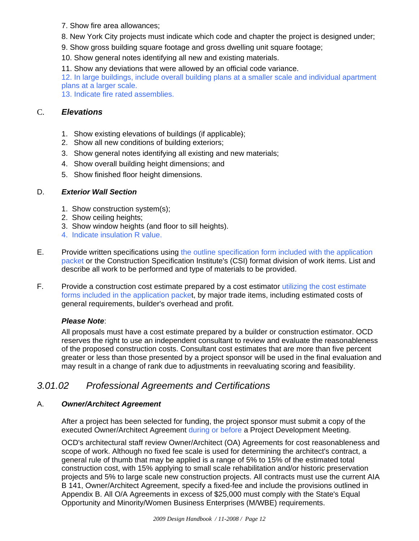- 7. Show fire area allowances;
- 8. New York City projects must indicate which code and chapter the project is designed under;
- 9. Show gross building square footage and gross dwelling unit square footage;
- 10. Show general notes identifying all new and existing materials.
- 11. Show any deviations that were allowed by an official code variance.

12. In large buildings, include overall building plans at a smaller scale and individual apartment plans at a larger scale.

13. Indicate fire rated assemblies.

#### C. *Elevations*

- 1. Show existing elevations of buildings (if applicable);
- 2. Show all new conditions of building exteriors;
- 3. Show general notes identifying all existing and new materials;
- 4. Show overall building height dimensions; and
- 5. Show finished floor height dimensions.

#### D. *Exterior Wall Section*

- 1. Show construction system(s);
- 2. Show ceiling heights;
- 3. Show window heights (and floor to sill heights).
- 4. Indicate insulation R value.
- E. Provide written specifications using the outline specification form included with the application packet or the Construction Specification Institute's (CSI) format division of work items. List and describe all work to be performed and type of materials to be provided.
- F. Provide a construction cost estimate prepared by a cost estimator utilizing the cost estimate forms included in the application packet, by major trade items, including estimated costs of general requirements, builder's overhead and profit.

#### *Please Note*:

All proposals must have a cost estimate prepared by a builder or construction estimator. OCD reserves the right to use an independent consultant to review and evaluate the reasonableness of the proposed construction costs. Consultant cost estimates that are more than five percent greater or less than those presented by a project sponsor will be used in the final evaluation and may result in a change of rank due to adjustments in reevaluating scoring and feasibility.

## *3.01.02 Professional Agreements and Certifications*

#### A. *Owner/Architect Agreement*

After a project has been selected for funding, the project sponsor must submit a copy of the executed Owner/Architect Agreement during or before a Project Development Meeting.

OCD's architectural staff review Owner/Architect (OA) Agreements for cost reasonableness and scope of work. Although no fixed fee scale is used for determining the architect's contract, a general rule of thumb that may be applied is a range of 5% to 15% of the estimated total construction cost, with 15% applying to small scale rehabilitation and/or historic preservation projects and 5% to large scale new construction projects. All contracts must use the current AIA B 141, Owner/Architect Agreement, specify a fixed-fee and include the provisions outlined in Appendix B. All O/A Agreements in excess of \$25,000 must comply with the State's Equal Opportunity and Minority/Women Business Enterprises (M/WBE) requirements.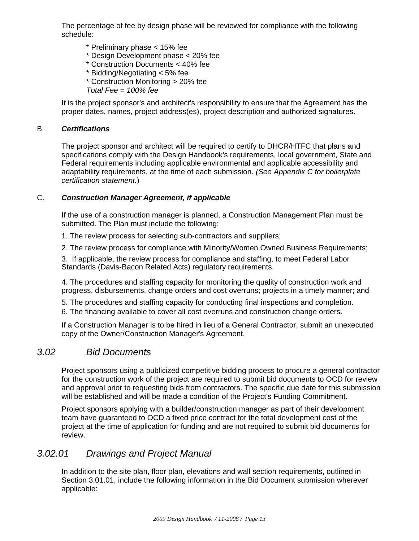The percentage of fee by design phase will be reviewed for compliance with the following schedule:

- \* Preliminary phase < 15% fee
- \* Design Development phase < 20% fee
- \* Construction Documents < 40% fee
- \* Bidding/Negotiating < 5% fee
- \* Construction Monitoring > 20% fee
- *Total Fee = 100% fee*

It is the project sponsor's and architect's responsibility to ensure that the Agreement has the proper dates, names, project address(es), project description and authorized signatures.

#### B. *Certifications*

The project sponsor and architect will be required to certify to DHCR/HTFC that plans and specifications comply with the Design Handbook's requirements, local government, State and Federal requirements including applicable environmental and applicable accessibility and adaptability requirements, at the time of each submission. *(See Appendix C for boilerplate certification statement.*)

#### C. *Construction Manager Agreement, if applicable*

If the use of a construction manager is planned, a Construction Management Plan must be submitted. The Plan must include the following:

1. The review process for selecting sub-contractors and suppliers;

2. The review process for compliance with Minority/Women Owned Business Requirements;

3. If applicable, the review process for compliance and staffing, to meet Federal Labor Standards (Davis-Bacon Related Acts) regulatory requirements.

4. The procedures and staffing capacity for monitoring the quality of construction work and progress, disbursements, change orders and cost overruns; projects in a timely manner; and

5. The procedures and staffing capacity for conducting final inspections and completion.

6. The financing available to cover all cost overruns and construction change orders.

If a Construction Manager is to be hired in lieu of a General Contractor, submit an unexecuted copy of the Owner/Construction Manager's Agreement.

### *3.02 Bid Documents*

Project sponsors using a publicized competitive bidding process to procure a general contractor for the construction work of the project are required to submit bid documents to OCD for review and approval prior to requesting bids from contractors. The specific due date for this submission will be established and will be made a condition of the Project's Funding Commitment.

Project sponsors applying with a builder/construction manager as part of their development team have guaranteed to OCD a fixed price contract for the total development cost of the project at the time of application for funding and are not required to submit bid documents for review.

### *3.02.01 Drawings and Project Manual*

In addition to the site plan, floor plan, elevations and wall section requirements, outlined in Section 3.01.01, include the following information in the Bid Document submission wherever applicable: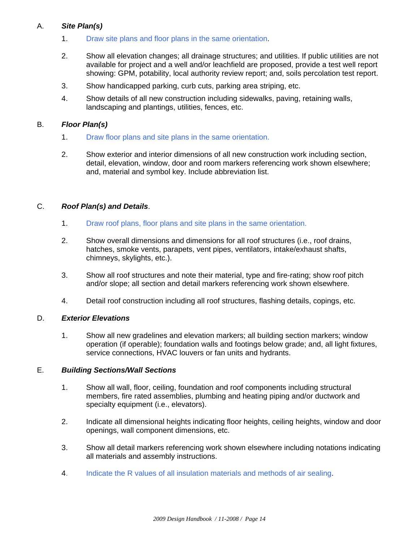#### A. *Site Plan(s)*

- 1. Draw site plans and floor plans in the same orientation.
- 2. Show all elevation changes; all drainage structures; and utilities. If public utilities are not available for project and a well and/or leachfield are proposed, provide a test well report showing: GPM, potability, local authority review report; and, soils percolation test report.
- 3. Show handicapped parking, curb cuts, parking area striping, etc.
- 4. Show details of all new construction including sidewalks, paving, retaining walls, landscaping and plantings, utilities, fences, etc.

#### B. *Floor Plan(s)*

- 1. Draw floor plans and site plans in the same orientation.
- 2. Show exterior and interior dimensions of all new construction work including section, detail, elevation, window, door and room markers referencing work shown elsewhere; and, material and symbol key. Include abbreviation list.

#### C. *Roof Plan(s) and Details*.

- 1. Draw roof plans, floor plans and site plans in the same orientation.
- 2. Show overall dimensions and dimensions for all roof structures (i.e., roof drains, hatches, smoke vents, parapets, vent pipes, ventilators, intake/exhaust shafts, chimneys, skylights, etc.).
- 3. Show all roof structures and note their material, type and fire-rating; show roof pitch and/or slope; all section and detail markers referencing work shown elsewhere.
- 4. Detail roof construction including all roof structures, flashing details, copings, etc.

#### D. *Exterior Elevations*

1. Show all new gradelines and elevation markers; all building section markers; window operation (if operable); foundation walls and footings below grade; and, all light fixtures, service connections, HVAC louvers or fan units and hydrants.

#### E. *Building Sections/Wall Sections*

- 1. Show all wall, floor, ceiling, foundation and roof components including structural members, fire rated assemblies, plumbing and heating piping and/or ductwork and specialty equipment (i.e., elevators).
- 2. Indicate all dimensional heights indicating floor heights, ceiling heights, window and door openings, wall component dimensions, etc.
- 3. Show all detail markers referencing work shown elsewhere including notations indicating all materials and assembly instructions.
- 4. Indicate the R values of all insulation materials and methods of air sealing.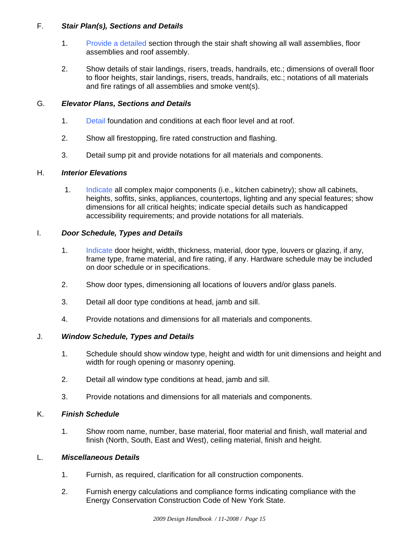#### F. *Stair Plan(s), Sections and Details*

- 1. Provide a detailed section through the stair shaft showing all wall assemblies, floor assemblies and roof assembly.
- 2. Show details of stair landings, risers, treads, handrails, etc.; dimensions of overall floor to floor heights, stair landings, risers, treads, handrails, etc.; notations of all materials and fire ratings of all assemblies and smoke vent(s).

#### G. *Elevator Plans, Sections and Details*

- 1. Detail foundation and conditions at each floor level and at roof.
- 2. Show all firestopping, fire rated construction and flashing.
- 3. Detail sump pit and provide notations for all materials and components.

#### H. *Interior Elevations*

1. Indicate all complex major components (i.e., kitchen cabinetry); show all cabinets, heights, soffits, sinks, appliances, countertops, lighting and any special features; show dimensions for all critical heights; indicate special details such as handicapped accessibility requirements; and provide notations for all materials.

#### I. *Door Schedule, Types and Details*

- 1. Indicate door height, width, thickness, material, door type, louvers or glazing, if any, frame type, frame material, and fire rating, if any. Hardware schedule may be included on door schedule or in specifications.
- 2. Show door types, dimensioning all locations of louvers and/or glass panels.
- 3. Detail all door type conditions at head, jamb and sill.
- 4. Provide notations and dimensions for all materials and components.

#### J. *Window Schedule, Types and Details*

- 1. Schedule should show window type, height and width for unit dimensions and height and width for rough opening or masonry opening.
- 2. Detail all window type conditions at head, jamb and sill.
- 3. Provide notations and dimensions for all materials and components.

#### K. *Finish Schedule*

1. Show room name, number, base material, floor material and finish, wall material and finish (North, South, East and West), ceiling material, finish and height.

#### L. *Miscellaneous Details*

- 1. Furnish, as required, clarification for all construction components.
- 2. Furnish energy calculations and compliance forms indicating compliance with the Energy Conservation Construction Code of New York State.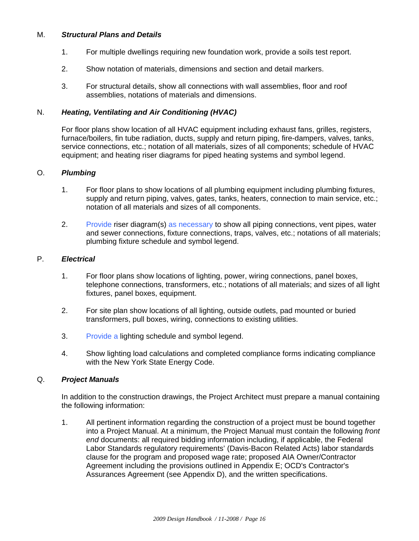#### M. *Structural Plans and Details*

- 1. For multiple dwellings requiring new foundation work, provide a soils test report.
- 2. Show notation of materials, dimensions and section and detail markers.
- 3. For structural details, show all connections with wall assemblies, floor and roof assemblies, notations of materials and dimensions.

#### N. *Heating, Ventilating and Air Conditioning (HVAC)*

For floor plans show location of all HVAC equipment including exhaust fans, grilles, registers, furnace/boilers, fin tube radiation, ducts, supply and return piping, fire-dampers, valves, tanks, service connections, etc.; notation of all materials, sizes of all components; schedule of HVAC equipment; and heating riser diagrams for piped heating systems and symbol legend.

#### O. *Plumbing*

- 1. For floor plans to show locations of all plumbing equipment including plumbing fixtures, supply and return piping, valves, gates, tanks, heaters, connection to main service, etc.; notation of all materials and sizes of all components.
- 2. Provide riser diagram(s) as necessary to show all piping connections, vent pipes, water and sewer connections, fixture connections, traps, valves, etc.; notations of all materials; plumbing fixture schedule and symbol legend.

#### P. *Electrical*

- 1. For floor plans show locations of lighting, power, wiring connections, panel boxes, telephone connections, transformers, etc.; notations of all materials; and sizes of all light fixtures, panel boxes, equipment.
- 2. For site plan show locations of all lighting, outside outlets, pad mounted or buried transformers, pull boxes, wiring, connections to existing utilities.
- 3. Provide a lighting schedule and symbol legend.
- 4. Show lighting load calculations and completed compliance forms indicating compliance with the New York State Energy Code.

#### Q. *Project Manuals*

In addition to the construction drawings, the Project Architect must prepare a manual containing the following information:

1. All pertinent information regarding the construction of a project must be bound together into a Project Manual. At a minimum, the Project Manual must contain the following *front end* documents: all required bidding information including, if applicable, the Federal Labor Standards regulatory requirements' (Davis-Bacon Related Acts) labor standards clause for the program and proposed wage rate; proposed AIA Owner/Contractor Agreement including the provisions outlined in Appendix E; OCD's Contractor's Assurances Agreement (see Appendix D), and the written specifications.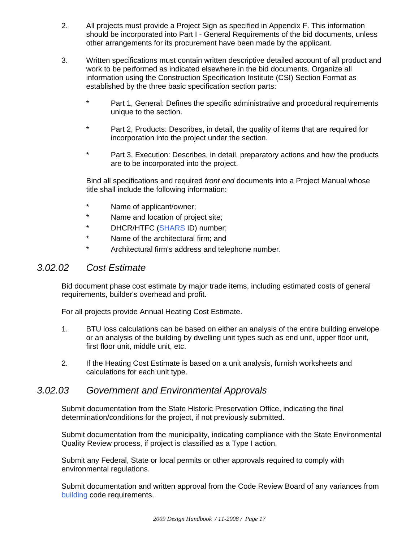- 2. All projects must provide a Project Sign as specified in Appendix F. This information should be incorporated into Part I - General Requirements of the bid documents, unless other arrangements for its procurement have been made by the applicant.
- 3. Written specifications must contain written descriptive detailed account of all product and work to be performed as indicated elsewhere in the bid documents. Organize all information using the Construction Specification Institute (CSI) Section Format as established by the three basic specification section parts:
	- \* Part 1, General: Defines the specific administrative and procedural requirements unique to the section.
	- \* Part 2, Products: Describes, in detail, the quality of items that are required for incorporation into the project under the section.
	- \* Part 3, Execution: Describes, in detail, preparatory actions and how the products are to be incorporated into the project.

Bind all specifications and required *front end* documents into a Project Manual whose title shall include the following information:

- \* Name of applicant/owner;
- \* Name and location of project site;
- \* DHCR/HTFC (SHARS ID) number;
- \* Name of the architectural firm; and
- \* Architectural firm's address and telephone number.

### *3.02.02 Cost Estimate*

Bid document phase cost estimate by major trade items, including estimated costs of general requirements, builder's overhead and profit.

For all projects provide Annual Heating Cost Estimate.

- 1. BTU loss calculations can be based on either an analysis of the entire building envelope or an analysis of the building by dwelling unit types such as end unit, upper floor unit, first floor unit, middle unit, etc.
- 2. If the Heating Cost Estimate is based on a unit analysis, furnish worksheets and calculations for each unit type.

### *3.02.03 Government and Environmental Approvals*

Submit documentation from the State Historic Preservation Office, indicating the final determination/conditions for the project, if not previously submitted.

Submit documentation from the municipality, indicating compliance with the State Environmental Quality Review process, if project is classified as a Type I action.

Submit any Federal, State or local permits or other approvals required to comply with environmental regulations.

Submit documentation and written approval from the Code Review Board of any variances from building code requirements.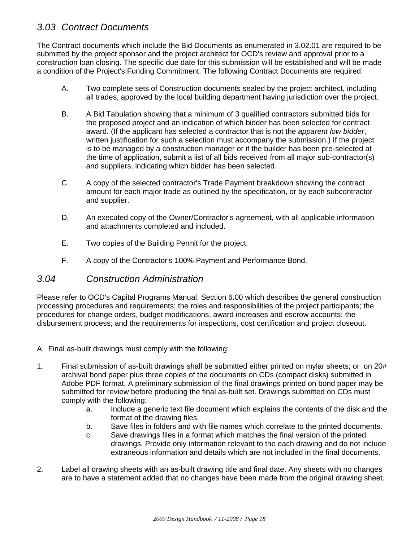## *3.03 Contract Documents*

The Contract documents which include the Bid Documents as enumerated in 3.02.01 are required to be submitted by the project sponsor and the project architect for OCD's review and approval prior to a construction loan closing. The specific due date for this submission will be established and will be made a condition of the Project's Funding Commitment. The following Contract Documents are required:

- A. Two complete sets of Construction documents sealed by the project architect, including all trades, approved by the local building department having jurisdiction over the project.
- B. A Bid Tabulation showing that a minimum of 3 qualified contractors submitted bids for the proposed project and an indication of which bidder has been selected for contract award. (If the applicant has selected a contractor that is not the *apparent low bidder*, written justification for such a selection must accompany the submission.) If the project is to be managed by a construction manager or if the builder has been pre-selected at the time of application, submit a list of all bids received from all major sub-contractor(s) and suppliers, indicating which bidder has been selected.
- C. A copy of the selected contractor's Trade Payment breakdown showing the contract amount for each major trade as outlined by the specification, or by each subcontractor and supplier.
- D. An executed copy of the Owner/Contractor's agreement, with all applicable information and attachments completed and included.
- E. Two copies of the Building Permit for the project.
- F. A copy of the Contractor's 100% Payment and Performance Bond.

### *3.04 Construction Administration*

Please refer to OCD's Capital Programs Manual, Section 6.00 which describes the general construction processing procedures and requirements; the roles and responsibilities of the project participants; the procedures for change orders, budget modifications, award increases and escrow accounts; the disbursement process; and the requirements for inspections, cost certification and project closeout.

- A. Final as-built drawings must comply with the following:
- 1. Final submission of as-built drawings shall be submitted either printed on mylar sheets; or on 20# archival bond paper plus three copies of the documents on CDs (compact disks) submitted in Adobe PDF format. A preliminary submission of the final drawings printed on bond paper may be submitted for review before producing the final as-built set. Drawings submitted on CDs must comply with the following:
	- a. Include a generic text file document which explains the contents of the disk and the format of the drawing files.
	- b. Save files in folders and with file names which correlate to the printed documents.
	- c. Save drawings files in a format which matches the final version of the printed drawings. Provide only information relevant to the each drawing and do not include extraneous information and details which are not included in the final documents.
- 2. Label all drawing sheets with an as-built drawing title and final date. Any sheets with no changes are to have a statement added that no changes have been made from the original drawing sheet.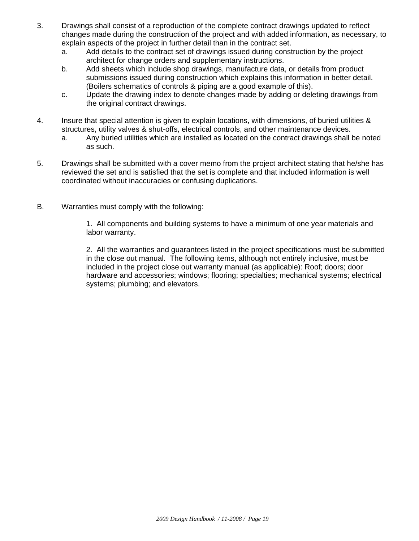- 3. Drawings shall consist of a reproduction of the complete contract drawings updated to reflect changes made during the construction of the project and with added information, as necessary, to explain aspects of the project in further detail than in the contract set.
	- a. Add details to the contract set of drawings issued during construction by the project architect for change orders and supplementary instructions.
	- b. Add sheets which include shop drawings, manufacture data, or details from product submissions issued during construction which explains this information in better detail. (Boilers schematics of controls & piping are a good example of this).
	- c. Update the drawing index to denote changes made by adding or deleting drawings from the original contract drawings.
- 4. Insure that special attention is given to explain locations, with dimensions, of buried utilities & structures, utility valves & shut-offs, electrical controls, and other maintenance devices.
	- a. Any buried utilities which are installed as located on the contract drawings shall be noted as such.
- 5. Drawings shall be submitted with a cover memo from the project architect stating that he/she has reviewed the set and is satisfied that the set is complete and that included information is well coordinated without inaccuracies or confusing duplications.
- B. Warranties must comply with the following:

1. All components and building systems to have a minimum of one year materials and labor warranty.

2. All the warranties and guarantees listed in the project specifications must be submitted in the close out manual. The following items, although not entirely inclusive, must be included in the project close out warranty manual (as applicable): Roof; doors; door hardware and accessories; windows; flooring; specialties; mechanical systems; electrical systems; plumbing; and elevators.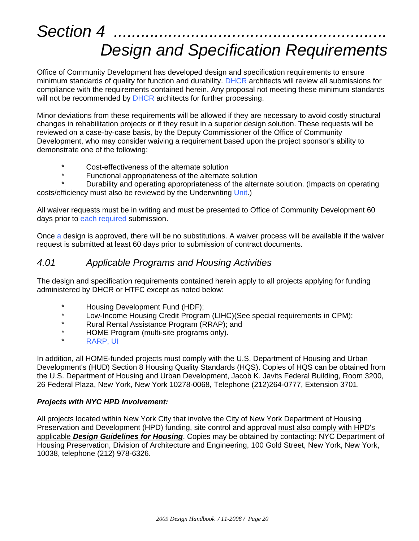## Section 4 *Design and Specification Requirements*

Office of Community Development has developed design and specification requirements to ensure minimum standards of quality for function and durability. DHCR architects will review all submissions for compliance with the requirements contained herein. Any proposal not meeting these minimum standards will not be recommended by DHCR architects for further processing.

Minor deviations from these requirements will be allowed if they are necessary to avoid costly structural changes in rehabilitation projects or if they result in a superior design solution. These requests will be reviewed on a case-by-case basis, by the Deputy Commissioner of the Office of Community Development, who may consider waiving a requirement based upon the project sponsor's ability to demonstrate one of the following:

- \* Cost-effectiveness of the alternate solution
- Functional appropriateness of the alternate solution

Durability and operating appropriateness of the alternate solution. (Impacts on operating costs/efficiency must also be reviewed by the Underwriting Unit.)

All waiver requests must be in writing and must be presented to Office of Community Development 60 days prior to each required submission.

Once a design is approved, there will be no substitutions. A waiver process will be available if the waiver request is submitted at least 60 days prior to submission of contract documents.

## *4.01 Applicable Programs and Housing Activities*

The design and specification requirements contained herein apply to all projects applying for funding administered by DHCR or HTFC except as noted below:

- \* Housing Development Fund (HDF);<br>\* 1.0W Income Housing Credit Program
- \* Low-Income Housing Credit Program (LIHC)(See special requirements in CPM);<br>\* Pural Bental Assistance Program (RRAP); and
- \* Rural Rental Assistance Program (RRAP); and<br>\* HOME Program (multi-site programs only)
- \* HOME Program (multi-site programs only).<br>\* PAPP LU
- RARP, UI

In addition, all HOME-funded projects must comply with the U.S. Department of Housing and Urban Development's (HUD) Section 8 Housing Quality Standards (HQS). Copies of HQS can be obtained from the U.S. Department of Housing and Urban Development, Jacob K. Javits Federal Building, Room 3200, 26 Federal Plaza, New York, New York 10278-0068, Telephone (212)264-0777, Extension 3701.

#### *Projects with NYC HPD Involvement:*

All projects located within New York City that involve the City of New York Department of Housing Preservation and Development (HPD) funding, site control and approval must also comply with HPD's applicable *Design Guidelines for Housing*. Copies may be obtained by contacting: NYC Department of Housing Preservation, Division of Architecture and Engineering, 100 Gold Street, New York, New York, 10038, telephone (212) 978-6326.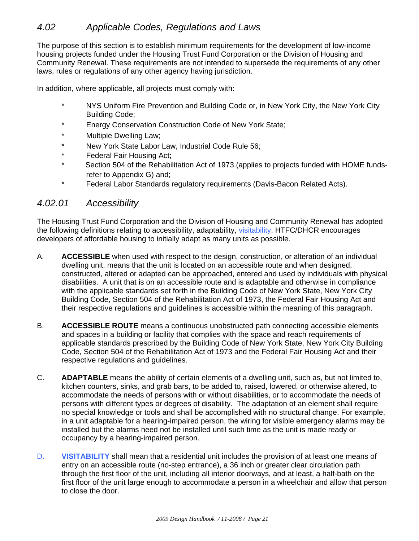The purpose of this section is to establish minimum requirements for the development of low-income housing projects funded under the Housing Trust Fund Corporation or the Division of Housing and Community Renewal. These requirements are not intended to supersede the requirements of any other laws, rules or regulations of any other agency having jurisdiction.

In addition, where applicable, all projects must comply with:

- \* NYS Uniform Fire Prevention and Building Code or, in New York City, the New York City Building Code;
- Energy Conservation Construction Code of New York State;
- \* Multiple Dwelling Law;
- \* New York State Labor Law, Industrial Code Rule 56;
- \* Federal Fair Housing Act;
- \* Section 504 of the Rehabilitation Act of 1973.(applies to projects funded with HOME fundsrefer to Appendix G) and;
- \* Federal Labor Standards regulatory requirements (Davis-Bacon Related Acts).

#### *4.02.01 Accessibility*

The Housing Trust Fund Corporation and the Division of Housing and Community Renewal has adopted the following definitions relating to accessibility, adaptability, visitability. HTFC/DHCR encourages developers of affordable housing to initially adapt as many units as possible.

- A. **ACCESSIBLE** when used with respect to the design, construction, or alteration of an individual dwelling unit, means that the unit is located on an accessible route and when designed, constructed, altered or adapted can be approached, entered and used by individuals with physical disabilities. A unit that is on an accessible route and is adaptable and otherwise in compliance with the applicable standards set forth in the Building Code of New York State, New York City Building Code, Section 504 of the Rehabilitation Act of 1973, the Federal Fair Housing Act and their respective regulations and guidelines is accessible within the meaning of this paragraph.
- B. **ACCESSIBLE ROUTE** means a continuous unobstructed path connecting accessible elements and spaces in a building or facility that complies with the space and reach requirements of applicable standards prescribed by the Building Code of New York State, New York City Building Code, Section 504 of the Rehabilitation Act of 1973 and the Federal Fair Housing Act and their respective regulations and guidelines.
- C. **ADAPTABLE** means the ability of certain elements of a dwelling unit, such as, but not limited to, kitchen counters, sinks, and grab bars, to be added to, raised, lowered, or otherwise altered, to accommodate the needs of persons with or without disabilities, or to accommodate the needs of persons with different types or degrees of disability. The adaptation of an element shall require no special knowledge or tools and shall be accomplished with no structural change. For example, in a unit adaptable for a hearing-impaired person, the wiring for visible emergency alarms may be installed but the alarms need not be installed until such time as the unit is made ready or occupancy by a hearing-impaired person.
- D. **VISITABILITY** shall mean that a residential unit includes the provision of at least one means of entry on an accessible route (no-step entrance), a 36 inch or greater clear circulation path through the first floor of the unit, including all interior doorways, and at least, a half-bath on the first floor of the unit large enough to accommodate a person in a wheelchair and allow that person to close the door.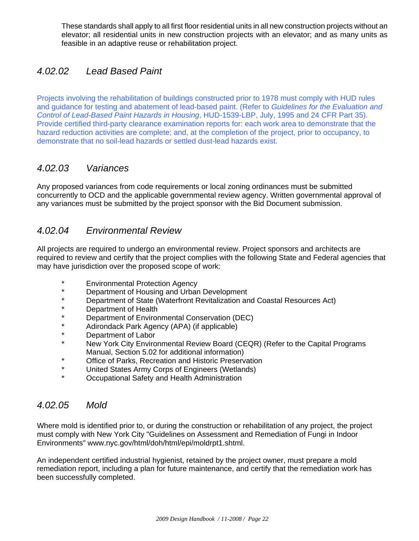These standards shall apply to all first floor residential units in all new construction projects without an elevator; all residential units in new construction projects with an elevator; and as many units as feasible in an adaptive reuse or rehabilitation project.

## *4.02.02 Lead Based Paint*

Projects involving the rehabilitation of buildings constructed prior to 1978 must comply with HUD rules and guidance for testing and abatement of lead-based paint. (Refer to *Guidelines for the Evaluation and Control of Lead-Based Paint Hazards in Housing*, HUD-1539-LBP, July, 1995 and 24 CFR Part 35). Provide certified third-party clearance examination reports for: each work area to demonstrate that the hazard reduction activities are complete; and, at the completion of the project, prior to occupancy, to demonstrate that no soil-lead hazards or settled dust-lead hazards exist.

## *4.02.03 Variances*

Any proposed variances from code requirements or local zoning ordinances must be submitted concurrently to OCD and the applicable governmental review agency. Written governmental approval of any variances must be submitted by the project sponsor with the Bid Document submission.

## *4.02.04 Environmental Review*

All projects are required to undergo an environmental review. Project sponsors and architects are required to review and certify that the project complies with the following State and Federal agencies that may have jurisdiction over the proposed scope of work:

- \* Environmental Protection Agency
- \* Department of Housing and Urban Development<br>\* Department of State (Waterfront Pevitalization and
- \* Department of State (Waterfront Revitalization and Coastal Resources Act)<br>\* Department of Health
- \* Department of Health<br>\* Department of Enviror
- \* Department of Environmental Conservation (DEC)<br>\* Adiropdack Bark Agency (ABA) (if applicable)
- \* Adirondack Park Agency (APA) (if applicable)
- \* Department of Labor<br>\* New York City Engine
- New York City Environmental Review Board (CEQR) (Refer to the Capital Programs Manual, Section 5.02 for additional information)
- \* Office of Parks, Recreation and Historic Preservation<br>\* I Inited States Army Corps of Engineers (Wetlands)
- \* United States Army Corps of Engineers (Wetlands)
- Occupational Safety and Health Administration

### *4.02.05 Mold*

Where mold is identified prior to, or during the construction or rehabilitation of any project, the project must comply with New York City "Guidelines on Assessment and Remediation of Fungi in Indoor Environments" www.nyc.gov/html/doh/html/epi/moldrpt1.shtml.

An independent certified industrial hygienist, retained by the project owner, must prepare a mold remediation report, including a plan for future maintenance, and certify that the remediation work has been successfully completed.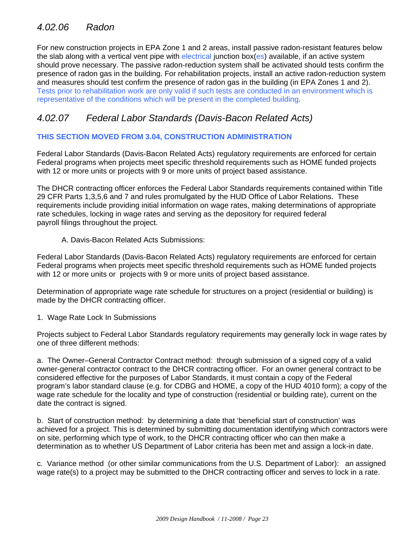## *4.02.06 Radon*

For new construction projects in EPA Zone 1 and 2 areas, install passive radon-resistant features below the slab along with a vertical vent pipe with electrical junction box(es) available, if an active system should prove necessary. The passive radon-reduction system shall be activated should tests confirm the presence of radon gas in the building. For rehabilitation projects, install an active radon-reduction system and measures should test confirm the presence of radon gas in the building (in EPA Zones 1 and 2). Tests prior to rehabilitation work are only valid if such tests are conducted in an environment which is representative of the conditions which will be present in the completed building.

## *4.02.07 Federal Labor Standards (Davis-Bacon Related Acts)*

#### **THIS SECTION MOVED FROM 3.04, CONSTRUCTION ADMINISTRATION**

Federal Labor Standards (Davis-Bacon Related Acts) regulatory requirements are enforced for certain Federal programs when projects meet specific threshold requirements such as HOME funded projects with 12 or more units or projects with 9 or more units of project based assistance.

The DHCR contracting officer enforces the Federal Labor Standards requirements contained within Title 29 CFR Parts 1,3,5,6 and 7 and rules promulgated by the HUD Office of Labor Relations. These requirements include providing initial information on wage rates, making determinations of appropriate rate schedules, locking in wage rates and serving as the depository for required federal payroll filings throughout the project.

#### A. Davis-Bacon Related Acts Submissions:

Federal Labor Standards (Davis-Bacon Related Acts) regulatory requirements are enforced for certain Federal programs when projects meet specific threshold requirements such as HOME funded projects with 12 or more units or projects with 9 or more units of project based assistance.

Determination of appropriate wage rate schedule for structures on a project (residential or building) is made by the DHCR contracting officer.

1. Wage Rate Lock In Submissions

Projects subject to Federal Labor Standards regulatory requirements may generally lock in wage rates by one of three different methods:

a. The Owner–General Contractor Contract method: through submission of a signed copy of a valid owner-general contractor contract to the DHCR contracting officer. For an owner general contract to be considered effective for the purposes of Labor Standards, it must contain a copy of the Federal program's labor standard clause (e.g. for CDBG and HOME, a copy of the HUD 4010 form); a copy of the wage rate schedule for the locality and type of construction (residential or building rate), current on the date the contract is signed.

b. Start of construction method: by determining a date that 'beneficial start of construction' was achieved for a project. This is determined by submitting documentation identifying which contractors were on site, performing which type of work, to the DHCR contracting officer who can then make a determination as to whether US Department of Labor criteria has been met and assign a lock-in date.

c. Variance method (or other similar communications from the U.S. Department of Labor): an assigned wage rate(s) to a project may be submitted to the DHCR contracting officer and serves to lock in a rate.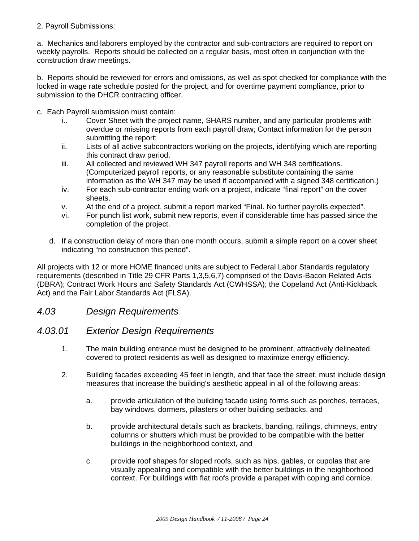#### 2. Payroll Submissions:

a. Mechanics and laborers employed by the contractor and sub-contractors are required to report on weekly payrolls. Reports should be collected on a regular basis, most often in conjunction with the construction draw meetings.

b. Reports should be reviewed for errors and omissions, as well as spot checked for compliance with the locked in wage rate schedule posted for the project, and for overtime payment compliance, prior to submission to the DHCR contracting officer.

- c. Each Payroll submission must contain:
	- i.. Cover Sheet with the project name, SHARS number, and any particular problems with overdue or missing reports from each payroll draw; Contact information for the person submitting the report;
	- ii. Lists of all active subcontractors working on the projects, identifying which are reporting this contract draw period.
	- iii. All collected and reviewed WH 347 payroll reports and WH 348 certifications. (Computerized payroll reports, or any reasonable substitute containing the same information as the WH 347 may be used if accompanied with a signed 348 certification.)
	- iv. For each sub-contractor ending work on a project, indicate "final report" on the cover sheets.
	- v. At the end of a project, submit a report marked "Final. No further payrolls expected".
	- vi. For punch list work, submit new reports, even if considerable time has passed since the completion of the project.
	- d. If a construction delay of more than one month occurs, submit a simple report on a cover sheet indicating "no construction this period".

All projects with 12 or more HOME financed units are subject to Federal Labor Standards regulatory requirements (described in Title 29 CFR Parts 1,3,5,6,7) comprised of the Davis-Bacon Related Acts (DBRA); Contract Work Hours and Safety Standards Act (CWHSSA); the Copeland Act (Anti-Kickback Act) and the Fair Labor Standards Act (FLSA).

#### *4.03 Design Requirements*

#### *4.03.01 Exterior Design Requirements*

- 1. The main building entrance must be designed to be prominent, attractively delineated, covered to protect residents as well as designed to maximize energy efficiency.
- 2. Building facades exceeding 45 feet in length, and that face the street, must include design measures that increase the building's aesthetic appeal in all of the following areas:
	- a. provide articulation of the building facade using forms such as porches, terraces, bay windows, dormers, pilasters or other building setbacks, and
	- b. provide architectural details such as brackets, banding, railings, chimneys, entry columns or shutters which must be provided to be compatible with the better buildings in the neighborhood context, and
	- c. provide roof shapes for sloped roofs, such as hips, gables, or cupolas that are visually appealing and compatible with the better buildings in the neighborhood context. For buildings with flat roofs provide a parapet with coping and cornice.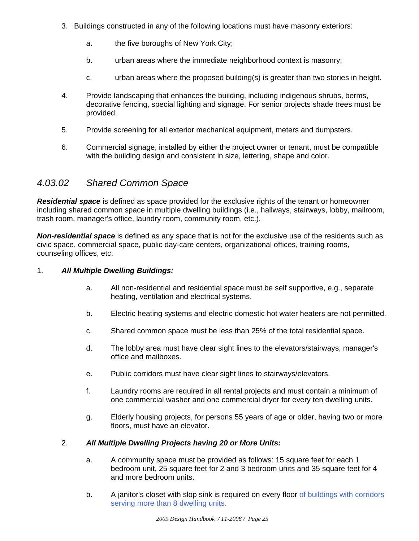- 3. Buildings constructed in any of the following locations must have masonry exteriors:
	- a. the five boroughs of New York City;
	- b. urban areas where the immediate neighborhood context is masonry;
	- c. urban areas where the proposed building(s) is greater than two stories in height.
- 4. Provide landscaping that enhances the building, including indigenous shrubs, berms, decorative fencing, special lighting and signage. For senior projects shade trees must be provided.
- 5. Provide screening for all exterior mechanical equipment, meters and dumpsters.
- 6. Commercial signage, installed by either the project owner or tenant, must be compatible with the building design and consistent in size, lettering, shape and color.

## *4.03.02 Shared Common Space*

*Residential space* is defined as space provided for the exclusive rights of the tenant or homeowner including shared common space in multiple dwelling buildings (i.e., hallways, stairways, lobby, mailroom, trash room, manager's office, laundry room, community room, etc.).

*Non-residential space* is defined as any space that is not for the exclusive use of the residents such as civic space, commercial space, public day-care centers, organizational offices, training rooms, counseling offices, etc.

#### 1. *All Multiple Dwelling Buildings:*

- a. All non-residential and residential space must be self supportive, e.g., separate heating, ventilation and electrical systems.
- b. Electric heating systems and electric domestic hot water heaters are not permitted.
- c. Shared common space must be less than 25% of the total residential space.
- d. The lobby area must have clear sight lines to the elevators/stairways, manager's office and mailboxes.
- e. Public corridors must have clear sight lines to stairways/elevators.
- f. Laundry rooms are required in all rental projects and must contain a minimum of one commercial washer and one commercial dryer for every ten dwelling units.
- g. Elderly housing projects, for persons 55 years of age or older, having two or more floors, must have an elevator.

#### 2. *All Multiple Dwelling Projects having 20 or More Units:*

- a. A community space must be provided as follows: 15 square feet for each 1 bedroom unit, 25 square feet for 2 and 3 bedroom units and 35 square feet for 4 and more bedroom units.
- b. A janitor's closet with slop sink is required on every floor of buildings with corridors serving more than 8 dwelling units.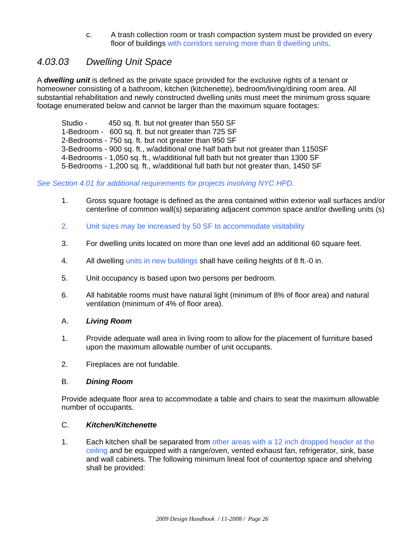c. A trash collection room or trash compaction system must be provided on every floor of buildings with corridors serving more than 8 dwelling units.

## *4.03.03 Dwelling Unit Space*

A *dwelling unit* is defined as the private space provided for the exclusive rights of a tenant or homeowner consisting of a bathroom, kitchen (kitchenette), bedroom/living/dining room area. All substantial rehabilitation and newly constructed dwelling units must meet the minimum gross square footage enumerated below and cannot be larger than the maximum square footages:

Studio - 450 sq. ft. but not greater than 550 SF 1-Bedroom - 600 sq. ft. but not greater than 725 SF 2-Bedrooms - 750 sq. ft. but not greater than 950 SF 3-Bedrooms - 900 sq. ft., w/additional one half bath but not greater than 1150SF 4-Bedrooms - 1,050 sq. ft., w/additional full bath but not greater than 1300 SF 5-Bedrooms - 1,200 sq. ft., w/additional full bath but not greater than, 1450 SF

#### *See Section 4.01 for additional requirements for projects involving NYC HPD.*

- 1. Gross square footage is defined as the area contained within exterior wall surfaces and/or centerline of common wall(s) separating adjacent common space and/or dwelling units (s)
- 2. Unit sizes may be increased by 50 SF to accommodate visitability
- 3. For dwelling units located on more than one level add an additional 60 square feet.
- 4. All dwelling units in new buildings shall have ceiling heights of 8 ft.-0 in.
- 5. Unit occupancy is based upon two persons per bedroom.
- 6. All habitable rooms must have natural light (minimum of 8% of floor area) and natural ventilation (minimum of 4% of floor area).

#### A. *Living Room*

- 1. Provide adequate wall area in living room to allow for the placement of furniture based upon the maximum allowable number of unit occupants.
- 2. Fireplaces are not fundable.

#### B. *Dining Room*

Provide adequate floor area to accommodate a table and chairs to seat the maximum allowable number of occupants.

#### C. *Kitchen/Kitchenette*

1. Each kitchen shall be separated from other areas with a 12 inch dropped header at the ceiling and be equipped with a range/oven, vented exhaust fan, refrigerator, sink, base and wall cabinets. The following minimum lineal foot of countertop space and shelving shall be provided: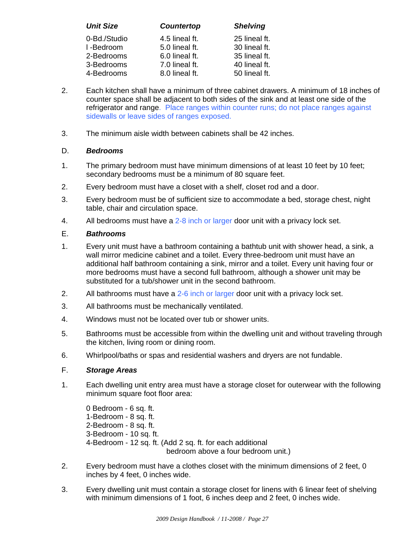| <b>Unit Size</b> | <b>Countertop</b> | <b>Shelving</b> |
|------------------|-------------------|-----------------|
| 0-Bd./Studio     | 4.5 lineal ft.    | 25 lineal ft.   |
| I-Bedroom        | 5.0 lineal ft.    | 30 lineal ft.   |
| 2-Bedrooms       | 6.0 lineal ft.    | 35 lineal ft.   |
| 3-Bedrooms       | 7.0 lineal ft.    | 40 lineal ft.   |
| 4-Bedrooms       | 8.0 lineal ft.    | 50 lineal ft.   |

- 2. Each kitchen shall have a minimum of three cabinet drawers. A minimum of 18 inches of counter space shall be adjacent to both sides of the sink and at least one side of the refrigerator and range. Place ranges within counter runs; do not place ranges against sidewalls or leave sides of ranges exposed.
- 3. The minimum aisle width between cabinets shall be 42 inches.

#### D. *Bedrooms*

- 1. The primary bedroom must have minimum dimensions of at least 10 feet by 10 feet; secondary bedrooms must be a minimum of 80 square feet.
- 2. Every bedroom must have a closet with a shelf, closet rod and a door.
- 3. Every bedroom must be of sufficient size to accommodate a bed, storage chest, night table, chair and circulation space.
- 4. All bedrooms must have a 2-8 inch or larger door unit with a privacy lock set.

#### E. *Bathrooms*

- 1. Every unit must have a bathroom containing a bathtub unit with shower head, a sink, a wall mirror medicine cabinet and a toilet. Every three-bedroom unit must have an additional half bathroom containing a sink, mirror and a toilet. Every unit having four or more bedrooms must have a second full bathroom, although a shower unit may be substituted for a tub/shower unit in the second bathroom.
- 2. All bathrooms must have a 2-6 inch or larger door unit with a privacy lock set.
- 3. All bathrooms must be mechanically ventilated.
- 4. Windows must not be located over tub or shower units.
- 5. Bathrooms must be accessible from within the dwelling unit and without traveling through the kitchen, living room or dining room.
- 6. Whirlpool/baths or spas and residential washers and dryers are not fundable.

#### F. *Storage Areas*

1. Each dwelling unit entry area must have a storage closet for outerwear with the following minimum square foot floor area:

0 Bedroom - 6 sq. ft. 1-Bedroom - 8 sq. ft. 2-Bedroom - 8 sq. ft. 3-Bedroom - 10 sq. ft. 4-Bedroom - 12 sq. ft. (Add 2 sq. ft. for each additional bedroom above a four bedroom unit.)

- 2. Every bedroom must have a clothes closet with the minimum dimensions of 2 feet, 0 inches by 4 feet, 0 inches wide.
- 3. Every dwelling unit must contain a storage closet for linens with 6 linear feet of shelving with minimum dimensions of 1 foot, 6 inches deep and 2 feet, 0 inches wide.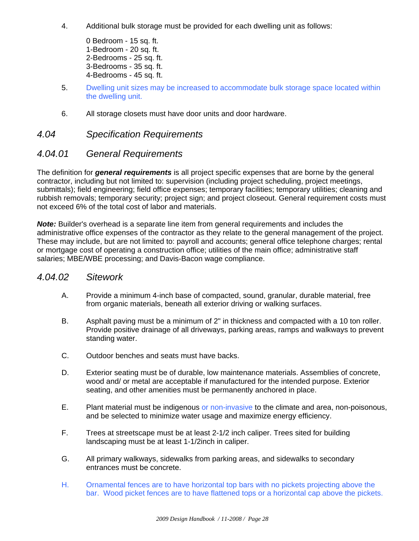- 4. Additional bulk storage must be provided for each dwelling unit as follows:
	- 0 Bedroom 15 sq. ft. 1-Bedroom - 20 sq. ft. 2-Bedrooms - 25 sq. ft. 3-Bedrooms - 35 sq. ft. 4-Bedrooms - 45 sq. ft.
- 5. Dwelling unit sizes may be increased to accommodate bulk storage space located within the dwelling unit.
- 6. All storage closets must have door units and door hardware.

#### *4.04 Specification Requirements*

### *4.04.01 General Requirements*

The definition for *general requirements* is all project specific expenses that are borne by the general contractor, including but not limited to: supervision (including project scheduling, project meetings, submittals); field engineering; field office expenses; temporary facilities; temporary utilities; cleaning and rubbish removals; temporary security; project sign; and project closeout. General requirement costs must not exceed 6% of the total cost of labor and materials.

*Note:* Builder's overhead is a separate line item from general requirements and includes the administrative office expenses of the contractor as they relate to the general management of the project. These may include, but are not limited to: payroll and accounts; general office telephone charges; rental or mortgage cost of operating a construction office; utilities of the main office; administrative staff salaries; MBE/WBE processing; and Davis-Bacon wage compliance.

#### *4.04.02 Sitework*

- A. Provide a minimum 4-inch base of compacted, sound, granular, durable material, free from organic materials, beneath all exterior driving or walking surfaces.
- B. Asphalt paving must be a minimum of 2" in thickness and compacted with a 10 ton roller. Provide positive drainage of all driveways, parking areas, ramps and walkways to prevent standing water.
- C. Outdoor benches and seats must have backs.
- D. Exterior seating must be of durable, low maintenance materials. Assemblies of concrete, wood and/ or metal are acceptable if manufactured for the intended purpose. Exterior seating, and other amenities must be permanently anchored in place.
- E. Plant material must be indigenous or non-invasive to the climate and area, non-poisonous, and be selected to minimize water usage and maximize energy efficiency.
- F. Trees at streetscape must be at least 2-1/2 inch caliper. Trees sited for building landscaping must be at least 1-1/2inch in caliper.
- G. All primary walkways, sidewalks from parking areas, and sidewalks to secondary entrances must be concrete.
- H. Ornamental fences are to have horizontal top bars with no pickets projecting above the bar. Wood picket fences are to have flattened tops or a horizontal cap above the pickets.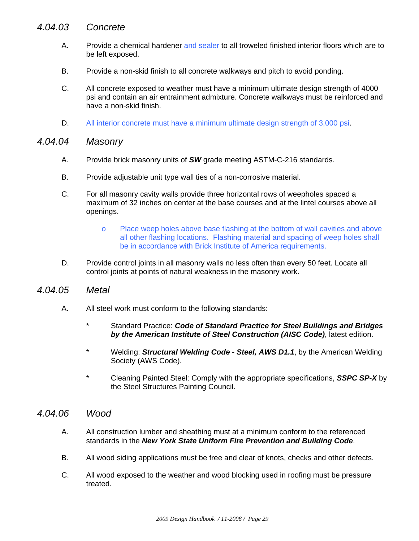### *4.04.03 Concrete*

- A. Provide a chemical hardener and sealer to all troweled finished interior floors which are to be left exposed.
- B. Provide a non-skid finish to all concrete walkways and pitch to avoid ponding.
- C. All concrete exposed to weather must have a minimum ultimate design strength of 4000 psi and contain an air entrainment admixture. Concrete walkways must be reinforced and have a non-skid finish.
- D. All interior concrete must have a minimum ultimate design strength of 3,000 psi.

#### *4.04.04 Masonry*

- A. Provide brick masonry units of *SW* grade meeting ASTM-C-216 standards.
- B. Provide adjustable unit type wall ties of a non-corrosive material.
- C. For all masonry cavity walls provide three horizontal rows of weepholes spaced a maximum of 32 inches on center at the base courses and at the lintel courses above all openings.
	- o Place weep holes above base flashing at the bottom of wall cavities and above all other flashing locations. Flashing material and spacing of weep holes shall be in accordance with Brick Institute of America requirements.
- D. Provide control joints in all masonry walls no less often than every 50 feet. Locate all control joints at points of natural weakness in the masonry work.

#### *4.04.05 Metal*

- A. All steel work must conform to the following standards:
	- \* Standard Practice: *Code of Standard Practice for Steel Buildings and Bridges by the American Institute of Steel Construction (AISC Code)*, latest edition.
	- \* Welding: *Structural Welding Code Steel, AWS D1.1*, by the American Welding Society (AWS Code).
	- \* Cleaning Painted Steel: Comply with the appropriate specifications, *SSPC SP-X* by the Steel Structures Painting Council.

#### *4.04.06 Wood*

- A. All construction lumber and sheathing must at a minimum conform to the referenced standards in the *New York State Uniform Fire Prevention and Building Code*.
- B. All wood siding applications must be free and clear of knots, checks and other defects.
- C. All wood exposed to the weather and wood blocking used in roofing must be pressure treated.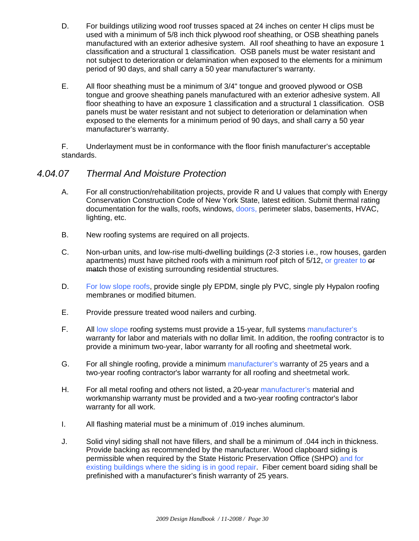- D. For buildings utilizing wood roof trusses spaced at 24 inches on center H clips must be used with a minimum of 5/8 inch thick plywood roof sheathing, or OSB sheathing panels manufactured with an exterior adhesive system. All roof sheathing to have an exposure 1 classification and a structural 1 classification. OSB panels must be water resistant and not subject to deterioration or delamination when exposed to the elements for a minimum period of 90 days, and shall carry a 50 year manufacturer's warranty.
- E. All floor sheathing must be a minimum of 3/4" tongue and grooved plywood or OSB tongue and groove sheathing panels manufactured with an exterior adhesive system. All floor sheathing to have an exposure 1 classification and a structural 1 classification. OSB panels must be water resistant and not subject to deterioration or delamination when exposed to the elements for a minimum period of 90 days, and shall carry a 50 year manufacturer's warranty.

 F. Underlayment must be in conformance with the floor finish manufacturer's acceptable standards.

### *4.04.07 Thermal And Moisture Protection*

- A. For all construction/rehabilitation projects, provide R and U values that comply with Energy Conservation Construction Code of New York State, latest edition. Submit thermal rating documentation for the walls, roofs, windows, doors, perimeter slabs, basements, HVAC, lighting, etc.
- B. New roofing systems are required on all projects.
- C. Non-urban units, and low-rise multi-dwelling buildings (2-3 stories i.e., row houses, garden apartments) must have pitched roofs with a minimum roof pitch of 5/12, or greater to  $\theta$ match those of existing surrounding residential structures.
- D. For low slope roofs, provide single ply EPDM, single ply PVC, single ply Hypalon roofing membranes or modified bitumen.
- E. Provide pressure treated wood nailers and curbing.
- F. All low slope roofing systems must provide a 15-year, full systems manufacturer's warranty for labor and materials with no dollar limit. In addition, the roofing contractor is to provide a minimum two-year, labor warranty for all roofing and sheetmetal work.
- G. For all shingle roofing, provide a minimum manufacturer's warranty of 25 years and a two-year roofing contractor's labor warranty for all roofing and sheetmetal work.
- H. For all metal roofing and others not listed, a 20-year manufacturer's material and workmanship warranty must be provided and a two-year roofing contractor's labor warranty for all work.
- I. All flashing material must be a minimum of .019 inches aluminum.
- J. Solid vinyl siding shall not have fillers, and shall be a minimum of .044 inch in thickness. Provide backing as recommended by the manufacturer. Wood clapboard siding is permissible when required by the State Historic Preservation Office (SHPO) and for existing buildings where the siding is in good repair. Fiber cement board siding shall be prefinished with a manufacturer's finish warranty of 25 years.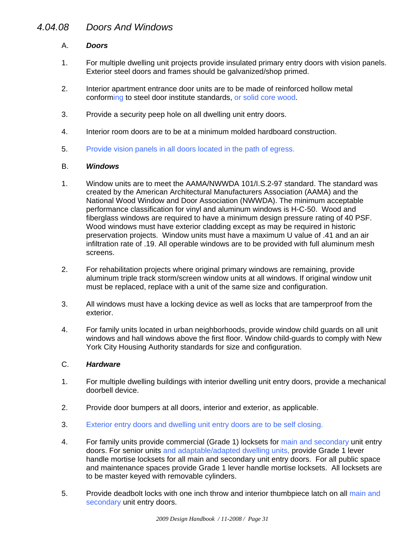## *4.04.08 Doors And Windows*

#### A. *Doors*

- 1. For multiple dwelling unit projects provide insulated primary entry doors with vision panels. Exterior steel doors and frames should be galvanized/shop primed.
- 2. Interior apartment entrance door units are to be made of reinforced hollow metal conforming to steel door institute standards, or solid core wood.
- 3. Provide a security peep hole on all dwelling unit entry doors.
- 4. Interior room doors are to be at a minimum molded hardboard construction.
- 5. Provide vision panels in all doors located in the path of egress.

#### B. *Windows*

- 1. Window units are to meet the AAMA/NWWDA 101/I.S.2-97 standard. The standard was created by the American Architectural Manufacturers Association (AAMA) and the National Wood Window and Door Association (NWWDA). The minimum acceptable performance classification for vinyl and aluminum windows is H-C-50. Wood and fiberglass windows are required to have a minimum design pressure rating of 40 PSF. Wood windows must have exterior cladding except as may be required in historic preservation projects. Window units must have a maximum U value of .41 and an air infiltration rate of .19. All operable windows are to be provided with full aluminum mesh screens.
- 2. For rehabilitation projects where original primary windows are remaining, provide aluminum triple track storm/screen window units at all windows. If original window unit must be replaced, replace with a unit of the same size and configuration.
- 3. All windows must have a locking device as well as locks that are tamperproof from the exterior.
- 4. For family units located in urban neighborhoods, provide window child guards on all unit windows and hall windows above the first floor. Window child-guards to comply with New York City Housing Authority standards for size and configuration.

#### C. *Hardware*

- 1. For multiple dwelling buildings with interior dwelling unit entry doors, provide a mechanical doorbell device.
- 2. Provide door bumpers at all doors, interior and exterior, as applicable.
- 3. Exterior entry doors and dwelling unit entry doors are to be self closing.
- 4. For family units provide commercial (Grade 1) locksets for main and secondary unit entry doors. For senior units and adaptable/adapted dwelling units, provide Grade 1 lever handle mortise locksets for all main and secondary unit entry doors. For all public space and maintenance spaces provide Grade 1 lever handle mortise locksets. All locksets are to be master keyed with removable cylinders.
- 5. Provide deadbolt locks with one inch throw and interior thumbpiece latch on all main and secondary unit entry doors.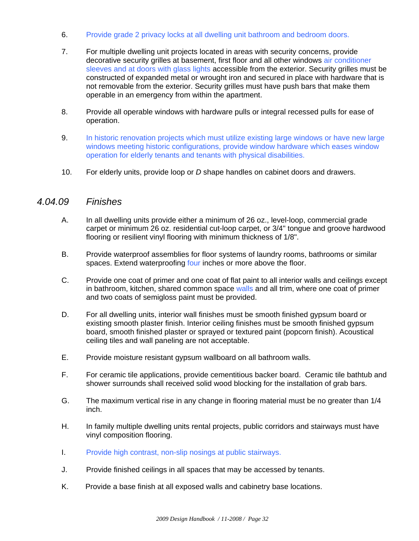- 6. Provide grade 2 privacy locks at all dwelling unit bathroom and bedroom doors.
- 7. For multiple dwelling unit projects located in areas with security concerns, provide decorative security grilles at basement, first floor and all other windows air conditioner sleeves and at doors with glass lights accessible from the exterior. Security grilles must be constructed of expanded metal or wrought iron and secured in place with hardware that is not removable from the exterior. Security grilles must have push bars that make them operable in an emergency from within the apartment.
- 8. Provide all operable windows with hardware pulls or integral recessed pulls for ease of operation.
- 9. In historic renovation projects which must utilize existing large windows or have new large windows meeting historic configurations, provide window hardware which eases window operation for elderly tenants and tenants with physical disabilities.
- 10. For elderly units, provide loop or *D* shape handles on cabinet doors and drawers.

#### *4.04.09 Finishes*

- A. In all dwelling units provide either a minimum of 26 oz., level-loop, commercial grade carpet or minimum 26 oz. residential cut-loop carpet, or 3/4" tongue and groove hardwood flooring or resilient vinyl flooring with minimum thickness of 1/8".
- B. Provide waterproof assemblies for floor systems of laundry rooms, bathrooms or similar spaces. Extend waterproofing four inches or more above the floor.
- C. Provide one coat of primer and one coat of flat paint to all interior walls and ceilings except in bathroom, kitchen, shared common space walls and all trim, where one coat of primer and two coats of semigloss paint must be provided.
- D. For all dwelling units, interior wall finishes must be smooth finished gypsum board or existing smooth plaster finish. Interior ceiling finishes must be smooth finished gypsum board, smooth finished plaster or sprayed or textured paint (popcorn finish). Acoustical ceiling tiles and wall paneling are not acceptable.
- E. Provide moisture resistant gypsum wallboard on all bathroom walls.
- F. For ceramic tile applications, provide cementitious backer board. Ceramic tile bathtub and shower surrounds shall received solid wood blocking for the installation of grab bars.
- G. The maximum vertical rise in any change in flooring material must be no greater than 1/4 inch.
- H. In family multiple dwelling units rental projects, public corridors and stairways must have vinyl composition flooring.
- I. Provide high contrast, non-slip nosings at public stairways.
- J. Provide finished ceilings in all spaces that may be accessed by tenants.
- K. Provide a base finish at all exposed walls and cabinetry base locations.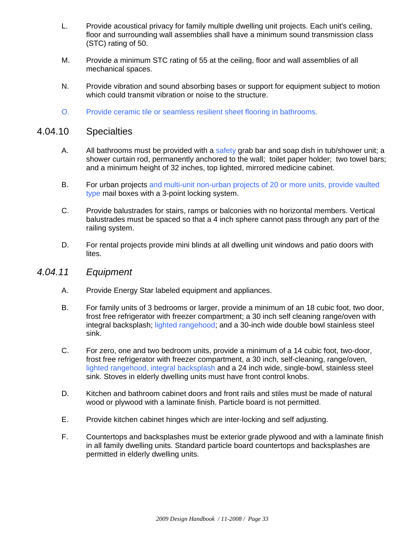- L. Provide acoustical privacy for family multiple dwelling unit projects. Each unit's ceiling, floor and surrounding wall assemblies shall have a minimum sound transmission class (STC) rating of 50.
- M. Provide a minimum STC rating of 55 at the ceiling, floor and wall assemblies of all mechanical spaces.
- N. Provide vibration and sound absorbing bases or support for equipment subject to motion which could transmit vibration or noise to the structure.
- O. Provide ceramic tile or seamless resilient sheet flooring in bathrooms.

#### 4.04.10 Specialties

- A. All bathrooms must be provided with a safety grab bar and soap dish in tub/shower unit; a shower curtain rod, permanently anchored to the wall; toilet paper holder; two towel bars; and a minimum height of 32 inches, top lighted, mirrored medicine cabinet.
- B. For urban projects and multi-unit non-urban projects of 20 or more units, provide vaulted type mail boxes with a 3-point locking system.
- C. Provide balustrades for stairs, ramps or balconies with no horizontal members. Vertical balustrades must be spaced so that a 4 inch sphere cannot pass through any part of the railing system.
- D. For rental projects provide mini blinds at all dwelling unit windows and patio doors with lites.

#### *4.04.11 Equipment*

- A. Provide Energy Star labeled equipment and appliances.
- B. For family units of 3 bedrooms or larger, provide a minimum of an 18 cubic foot, two door, frost free refrigerator with freezer compartment; a 30 inch self cleaning range/oven with integral backsplash; lighted rangehood; and a 30-inch wide double bowl stainless steel sink.
- C. For zero, one and two bedroom units, provide a minimum of a 14 cubic foot, two-door, frost free refrigerator with freezer compartment, a 30 inch, self-cleaning, range/oven, lighted rangehood, integral backsplash and a 24 inch wide, single-bowl, stainless steel sink. Stoves in elderly dwelling units must have front control knobs.
- D. Kitchen and bathroom cabinet doors and front rails and stiles must be made of natural wood or plywood with a laminate finish. Particle board is not permitted.
- E. Provide kitchen cabinet hinges which are inter-locking and self adjusting.
- F. Countertops and backsplashes must be exterior grade plywood and with a laminate finish in all family dwelling units. Standard particle board countertops and backsplashes are permitted in elderly dwelling units.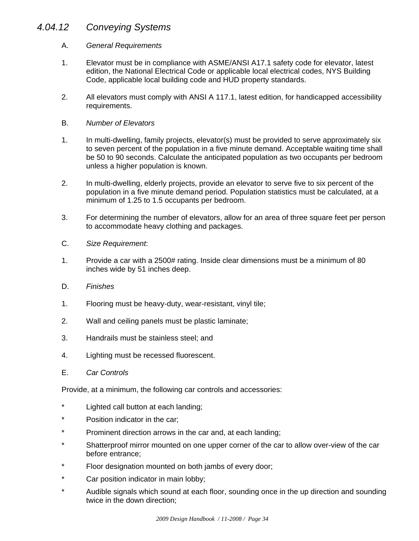## *4.04.12 Conveying Systems*

#### A. *General Requirements*

- 1. Elevator must be in compliance with ASME/ANSI A17.1 safety code for elevator, latest edition, the National Electrical Code or applicable local electrical codes, NYS Building Code, applicable local building code and HUD property standards.
- 2. All elevators must comply with ANSI A 117.1, latest edition, for handicapped accessibility requirements.
- B. *Number of Elevators*
- 1. In multi-dwelling, family projects, elevator(s) must be provided to serve approximately six to seven percent of the population in a five minute demand. Acceptable waiting time shall be 50 to 90 seconds. Calculate the anticipated population as two occupants per bedroom unless a higher population is known.
- 2. In multi-dwelling, elderly projects, provide an elevator to serve five to six percent of the population in a five minute demand period. Population statistics must be calculated, at a minimum of 1.25 to 1.5 occupants per bedroom.
- 3. For determining the number of elevators, allow for an area of three square feet per person to accommodate heavy clothing and packages.
- C. *Size Requirement*:
- 1. Provide a car with a 2500# rating. Inside clear dimensions must be a minimum of 80 inches wide by 51 inches deep.
- D. *Finishes*
- 1. Flooring must be heavy-duty, wear-resistant, vinyl tile;
- 2. Wall and ceiling panels must be plastic laminate;
- 3. Handrails must be stainless steel; and
- 4. Lighting must be recessed fluorescent.
- E. *Car Controls*

Provide, at a minimum, the following car controls and accessories:

- \* Lighted call button at each landing;
- \* Position indicator in the car;
- \* Prominent direction arrows in the car and, at each landing;
- \* Shatterproof mirror mounted on one upper corner of the car to allow over-view of the car before entrance;
- \* Floor designation mounted on both jambs of every door;
- \* Car position indicator in main lobby;
- \* Audible signals which sound at each floor, sounding once in the up direction and sounding twice in the down direction;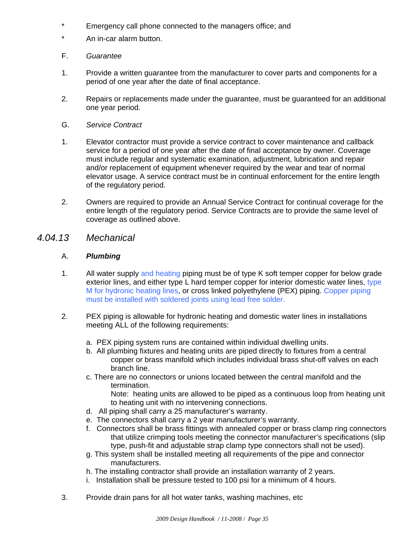- \* Emergency call phone connected to the managers office; and
- \* An in-car alarm button.
- F. *Guarantee*
- 1. Provide a written guarantee from the manufacturer to cover parts and components for a period of one year after the date of final acceptance.
- 2. Repairs or replacements made under the guarantee, must be guaranteed for an additional one year period.
- G. *Service Contract*
- 1. Elevator contractor must provide a service contract to cover maintenance and callback service for a period of one year after the date of final acceptance by owner. Coverage must include regular and systematic examination, adjustment, lubrication and repair and/or replacement of equipment whenever required by the wear and tear of normal elevator usage. A service contract must be in continual enforcement for the entire length of the regulatory period.
- 2. Owners are required to provide an Annual Service Contract for continual coverage for the entire length of the regulatory period. Service Contracts are to provide the same level of coverage as outlined above.
- *4.04.13 Mechanical*

#### A. *Plumbing*

- 1. All water supply and heating piping must be of type K soft temper copper for below grade exterior lines, and either type L hard temper copper for interior domestic water lines, type M for hydronic heating lines, or cross linked polyethylene (PEX) piping. Copper piping must be installed with soldered joints using lead free solder.
- 2. PEX piping is allowable for hydronic heating and domestic water lines in installations meeting ALL of the following requirements:
	- a. PEX piping system runs are contained within individual dwelling units.
	- b. All plumbing fixtures and heating units are piped directly to fixtures from a central copper or brass manifold which includes individual brass shut-off valves on each branch line.
	- c. There are no connectors or unions located between the central manifold and the termination.

 Note: heating units are allowed to be piped as a continuous loop from heating unit to heating unit with no intervening connections.

- d. All piping shall carry a 25 manufacturer's warranty.
- e. The connectors shall carry a 2 year manufacturer's warranty.
- f. Connectors shall be brass fittings with annealed copper or brass clamp ring connectors that utilize crimping tools meeting the connector manufacturer's specifications (slip type, push-fit and adjustable strap clamp type connectors shall not be used).
- g. This system shall be installed meeting all requirements of the pipe and connector manufacturers.
- h. The installing contractor shall provide an installation warranty of 2 years.
- i. Installation shall be pressure tested to 100 psi for a minimum of 4 hours.
- 3. Provide drain pans for all hot water tanks, washing machines, etc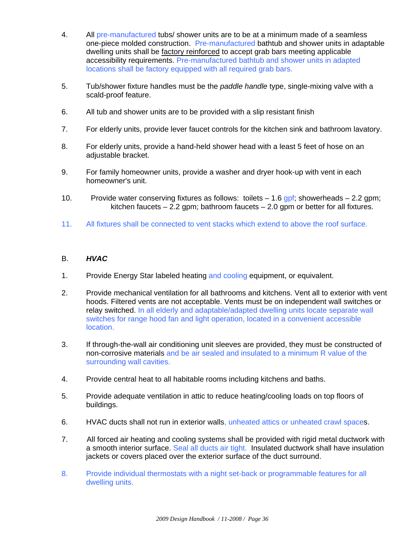- 4. All pre-manufactured tubs/ shower units are to be at a minimum made of a seamless one-piece molded construction. Pre-manufactured bathtub and shower units in adaptable dwelling units shall be factory reinforced to accept grab bars meeting applicable accessibility requirements. Pre-manufactured bathtub and shower units in adapted locations shall be factory equipped with all required grab bars.
- 5. Tub/shower fixture handles must be the *paddle handle* type, single-mixing valve with a scald-proof feature.
- 6. All tub and shower units are to be provided with a slip resistant finish
- 7. For elderly units, provide lever faucet controls for the kitchen sink and bathroom lavatory.
- 8. For elderly units, provide a hand-held shower head with a least 5 feet of hose on an adiustable bracket.
- 9. For family homeowner units, provide a washer and dryer hook-up with vent in each homeowner's unit.
- 10. Provide water conserving fixtures as follows: toilets  $-1.6$  gpf; showerheads  $-2.2$  gpm; kitchen faucets  $-2.2$  gpm; bathroom faucets  $-2.0$  gpm or better for all fixtures.
- 11. All fixtures shall be connected to vent stacks which extend to above the roof surface.

#### B. *HVAC*

- 1. Provide Energy Star labeled heating and cooling equipment, or equivalent.
- 2. Provide mechanical ventilation for all bathrooms and kitchens. Vent all to exterior with vent hoods. Filtered vents are not acceptable. Vents must be on independent wall switches or relay switched. In all elderly and adaptable/adapted dwelling units locate separate wall switches for range hood fan and light operation, located in a convenient accessible location.
- 3. If through-the-wall air conditioning unit sleeves are provided, they must be constructed of non-corrosive materials and be air sealed and insulated to a minimum R value of the surrounding wall cavities.
- 4. Provide central heat to all habitable rooms including kitchens and baths.
- 5. Provide adequate ventilation in attic to reduce heating/cooling loads on top floors of buildings.
- 6. HVAC ducts shall not run in exterior walls, unheated attics or unheated crawl spaces.
- 7. All forced air heating and cooling systems shall be provided with rigid metal ductwork with a smooth interior surface. Seal all ducts air tight. Insulated ductwork shall have insulation jackets or covers placed over the exterior surface of the duct surround.
- 8. Provide individual thermostats with a night set-back or programmable features for all dwelling units.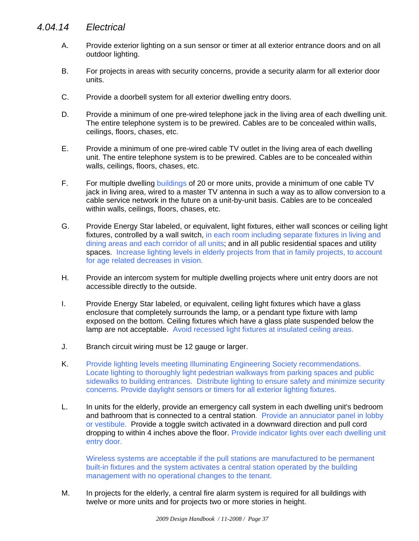## *4.04.14 Electrical*

- A. Provide exterior lighting on a sun sensor or timer at all exterior entrance doors and on all outdoor lighting.
- B. For projects in areas with security concerns, provide a security alarm for all exterior door units.
- C. Provide a doorbell system for all exterior dwelling entry doors.
- D. Provide a minimum of one pre-wired telephone jack in the living area of each dwelling unit. The entire telephone system is to be prewired. Cables are to be concealed within walls, ceilings, floors, chases, etc.
- E. Provide a minimum of one pre-wired cable TV outlet in the living area of each dwelling unit. The entire telephone system is to be prewired. Cables are to be concealed within walls, ceilings, floors, chases, etc.
- F. For multiple dwelling buildings of 20 or more units, provide a minimum of one cable TV jack in living area, wired to a master TV antenna in such a way as to allow conversion to a cable service network in the future on a unit-by-unit basis. Cables are to be concealed within walls, ceilings, floors, chases, etc.
- G. Provide Energy Star labeled, or equivalent, light fixtures, either wall sconces or ceiling light fixtures, controlled by a wall switch, in each room including separate fixtures in living and dining areas and each corridor of all units; and in all public residential spaces and utility spaces. Increase lighting levels in elderly projects from that in family projects, to account for age related decreases in vision.
- H. Provide an intercom system for multiple dwelling projects where unit entry doors are not accessible directly to the outside.
- I. Provide Energy Star labeled, or equivalent, ceiling light fixtures which have a glass enclosure that completely surrounds the lamp, or a pendant type fixture with lamp exposed on the bottom. Ceiling fixtures which have a glass plate suspended below the lamp are not acceptable. Avoid recessed light fixtures at insulated ceiling areas.
- J. Branch circuit wiring must be 12 gauge or larger.
- K. Provide lighting levels meeting Illuminating Engineering Society recommendations. Locate lighting to thoroughly light pedestrian walkways from parking spaces and public sidewalks to building entrances. Distribute lighting to ensure safety and minimize security concerns. Provide daylight sensors or timers for all exterior lighting fixtures.
- L. In units for the elderly, provide an emergency call system in each dwelling unit's bedroom and bathroom that is connected to a central station. Provide an annuciator panel in lobby or vestibule. Provide a toggle switch activated in a downward direction and pull cord dropping to within 4 inches above the floor. Provide indicator lights over each dwelling unit entry door.

 Wireless systems are acceptable if the pull stations are manufactured to be permanent built-in fixtures and the system activates a central station operated by the building management with no operational changes to the tenant.

M. In projects for the elderly, a central fire alarm system is required for all buildings with twelve or more units and for projects two or more stories in height.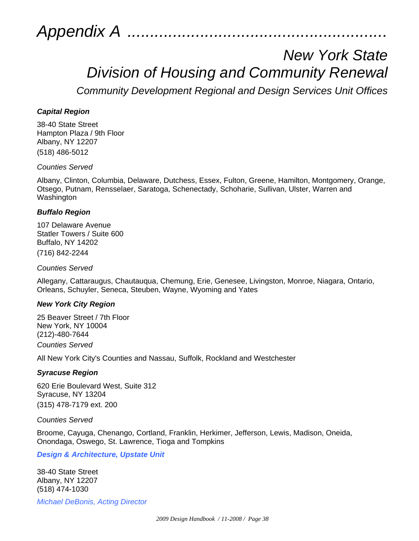*Appendix A .........................................................*

## *New York State Division of Housing and Community Renewal*

*Community Development Regional and Design Services Unit Offices*

#### *Capital Region*

38-40 State Street Hampton Plaza / 9th Floor Albany, NY 12207 (518) 486-5012

*Counties Served*

Albany, Clinton, Columbia, Delaware, Dutchess, Essex, Fulton, Greene, Hamilton, Montgomery, Orange, Otsego, Putnam, Rensselaer, Saratoga, Schenectady, Schoharie, Sullivan, Ulster, Warren and Washington

#### *Buffalo Region*

107 Delaware Avenue Statler Towers / Suite 600 Buffalo, NY 14202 (716) 842-2244

*Counties Served*

Allegany, Cattaraugus, Chautauqua, Chemung, Erie, Genesee, Livingston, Monroe, Niagara, Ontario, Orleans, Schuyler, Seneca, Steuben, Wayne, Wyoming and Yates

#### *New York City Region*

25 Beaver Street / 7th Floor New York, NY 10004 (212)-480-7644 *Counties Served*

All New York City's Counties and Nassau, Suffolk, Rockland and Westchester

#### *Syracuse Region*

620 Erie Boulevard West, Suite 312 Syracuse, NY 13204 (315) 478-7179 ext. 200

*Counties Served*

Broome, Cayuga, Chenango, Cortland, Franklin, Herkimer, Jefferson, Lewis, Madison, Oneida, Onondaga, Oswego, St. Lawrence, Tioga and Tompkins

*Design & Architecture, Upstate Unit* 

38-40 State Street Albany, NY 12207 (518) 474-1030

*Michael DeBonis, Acting Director*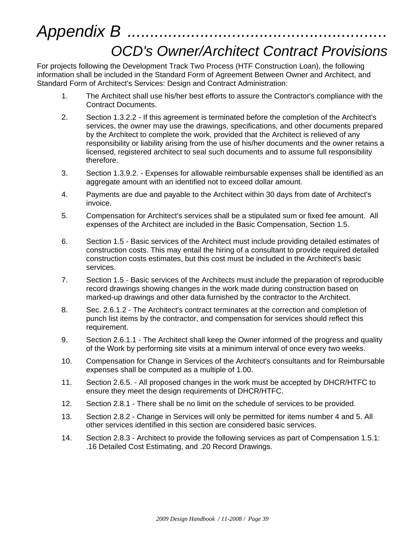# *Appendix B ......................................................... OCD's Owner/Architect Contract Provisions*

For projects following the Development Track Two Process (HTF Construction Loan), the following information shall be included in the Standard Form of Agreement Between Owner and Architect, and Standard Form of Architect's Services: Design and Contract Administration:

- 1. The Architect shall use his/her best efforts to assure the Contractor's compliance with the Contract Documents.
- 2. Section 1.3.2.2 If this agreement is terminated before the completion of the Architect's services, the owner may use the drawings, specifications, and other documents prepared by the Architect to complete the work, provided that the Architect is relieved of any responsibility or liability arising from the use of his/her documents and the owner retains a licensed, registered architect to seal such documents and to assume full responsibility therefore.
- 3. Section 1.3.9.2. Expenses for allowable reimbursable expenses shall be identified as an aggregate amount with an identified not to exceed dollar amount.
- 4. Payments are due and payable to the Architect within 30 days from date of Architect's invoice.
- 5. Compensation for Architect's services shall be a stipulated sum or fixed fee amount. All expenses of the Architect are included in the Basic Compensation, Section 1.5.
- 6. Section 1.5 Basic services of the Architect must include providing detailed estimates of construction costs. This may entail the hiring of a consultant to provide required detailed construction costs estimates, but this cost must be included in the Architect's basic services.
- 7. Section 1.5 Basic services of the Architects must include the preparation of reproducible record drawings showing changes in the work made during construction based on marked-up drawings and other data furnished by the contractor to the Architect.
- 8. Sec. 2.6.1.2 The Architect's contract terminates at the correction and completion of punch list items by the contractor, and compensation for services should reflect this requirement.
- 9. Section 2.6.1.1 The Architect shall keep the Owner informed of the progress and quality of the Work by performing site visits at a minimum interval of once every two weeks.
- 10. Compensation for Change in Services of the Architect's consultants and for Reimbursable expenses shall be computed as a multiple of 1.00.
- 11. Section 2.6.5. All proposed changes in the work must be accepted by DHCR/HTFC to ensure they meet the design requirements of DHCR/HTFC.
- 12. Section 2.8.1 There shall be no limit on the schedule of services to be provided.
- 13. Section 2.8.2 Change in Services will only be permitted for items number 4 and 5. All other services identified in this section are considered basic services.
- 14. Section 2.8.3 Architect to provide the following services as part of Compensation 1.5.1: .16 Detailed Cost Estimating, and .20 Record Drawings.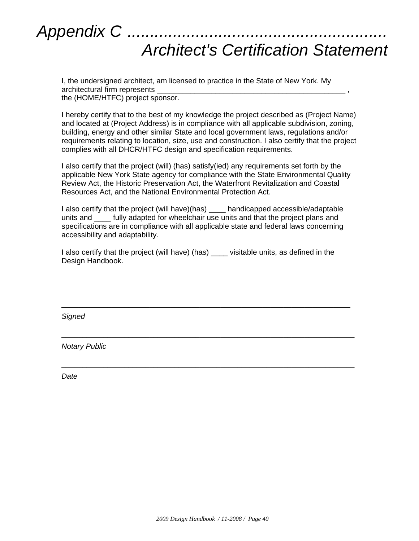

I, the undersigned architect, am licensed to practice in the State of New York. My architectural firm represents \_ the (HOME/HTFC) project sponsor.

I hereby certify that to the best of my knowledge the project described as (Project Name) and located at (Project Address) is in compliance with all applicable subdivision, zoning, building, energy and other similar State and local government laws, regulations and/or requirements relating to location, size, use and construction. I also certify that the project complies with all DHCR/HTFC design and specification requirements.

I also certify that the project (will) (has) satisfy(ied) any requirements set forth by the applicable New York State agency for compliance with the State Environmental Quality Review Act, the Historic Preservation Act, the Waterfront Revitalization and Coastal Resources Act, and the National Environmental Protection Act.

I also certify that the project (will have)(has) \_\_\_\_ handicapped accessible/adaptable units and **tully adapted for wheelchair use units and that the project plans and** specifications are in compliance with all applicable state and federal laws concerning accessibility and adaptability.

I also certify that the project (will have) (has) \_\_\_\_ visitable units, as defined in the Design Handbook.

\_\_\_\_\_\_\_\_\_\_\_\_\_\_\_\_\_\_\_\_\_\_\_\_\_\_\_\_\_\_\_\_\_\_\_\_\_\_\_\_\_\_\_\_\_\_\_\_\_\_\_\_\_\_\_\_\_\_\_\_\_\_\_\_\_\_\_\_\_

\_\_\_\_\_\_\_\_\_\_\_\_\_\_\_\_\_\_\_\_\_\_\_\_\_\_\_\_\_\_\_\_\_\_\_\_\_\_\_\_\_\_\_\_\_\_\_\_\_\_\_\_\_\_\_\_\_\_\_\_\_\_\_\_\_\_\_\_\_\_

\_\_\_\_\_\_\_\_\_\_\_\_\_\_\_\_\_\_\_\_\_\_\_\_\_\_\_\_\_\_\_\_\_\_\_\_\_\_\_\_\_\_\_\_\_\_\_\_\_\_\_\_\_\_\_\_\_\_\_\_\_\_\_\_\_\_\_\_\_\_

*Signed*

*Notary Public*

*Date*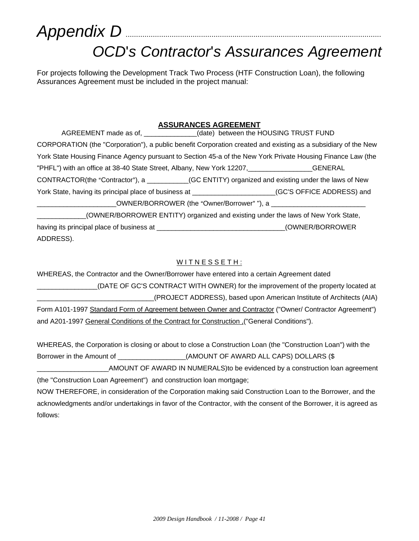# *Appendix D* .......................................................................................................................... *OCD*'*s Contractor*'*s Assurances Agreement*

For projects following the Development Track Two Process (HTF Construction Loan), the following Assurances Agreement must be included in the project manual:

#### **ASSURANCES AGREEMENT**

| AGREEMENT made as of, _____________(date) between the HOUSING TRUST FUND                                |                                                                                                               |
|---------------------------------------------------------------------------------------------------------|---------------------------------------------------------------------------------------------------------------|
|                                                                                                         | CORPORATION (the "Corporation"), a public benefit Corporation created and existing as a subsidiary of the New |
|                                                                                                         | York State Housing Finance Agency pursuant to Section 45-a of the New York Private Housing Finance Law (the   |
| "PHFL") with an office at 38-40 State Street, Albany, New York 12207,                                   | GENERAL                                                                                                       |
| CONTRACTOR(the "Contractor"), a __________(GC ENTITY) organized and existing under the laws of New      |                                                                                                               |
| York State, having its principal place of business at ________________________(GC'S OFFICE ADDRESS) and |                                                                                                               |
|                                                                                                         | _OWNER/BORROWER (the "Owner/Borrower" "), a ________________                                                  |
|                                                                                                         | (OWNER/BORROWER ENTITY) organized and existing under the laws of New York State,                              |

having its principal place of business at  $\blacksquare$  \_\_\_\_\_\_\_\_\_\_\_\_\_\_\_\_\_\_\_\_\_\_\_\_\_\_\_\_\_\_\_(OWNER/BORROWER ADDRESS).

#### WITNESSETH:

WHEREAS, the Contractor and the Owner/Borrower have entered into a certain Agreement dated \_\_\_\_\_\_\_\_\_\_\_\_\_\_\_\_(DATE OF GC'S CONTRACT WITH OWNER) for the improvement of the property located at \_\_\_\_\_\_\_\_\_\_\_\_\_\_\_\_\_\_\_\_\_\_\_\_\_\_\_\_\_\_\_(PROJECT ADDRESS), based upon American Institute of Architects (AIA) Form A101-1997 Standard Form of Agreement between Owner and Contractor ("Owner/ Contractor Agreement")

and A201-1997 General Conditions of the Contract for Construction ("General Conditions").

WHEREAS, the Corporation is closing or about to close a Construction Loan (the "Construction Loan") with the Borrower in the Amount of \_\_\_\_\_\_\_\_\_\_\_\_\_\_\_\_\_\_(AMOUNT OF AWARD ALL CAPS) DOLLARS (\$

AMOUNT OF AWARD IN NUMERALS)to be evidenced by a construction loan agreement (the "Construction Loan Agreement") and construction loan mortgage;

NOW THEREFORE, in consideration of the Corporation making said Construction Loan to the Borrower, and the acknowledgments and/or undertakings in favor of the Contractor, with the consent of the Borrower, it is agreed as follows: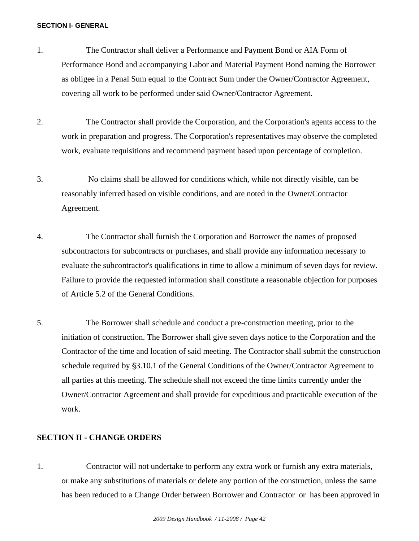#### **SECTION I- GENERAL**

- 1. The Contractor shall deliver a Performance and Payment Bond or AIA Form of Performance Bond and accompanying Labor and Material Payment Bond naming the Borrower as obligee in a Penal Sum equal to the Contract Sum under the Owner/Contractor Agreement, covering all work to be performed under said Owner/Contractor Agreement.
- 2. The Contractor shall provide the Corporation, and the Corporation's agents access to the work in preparation and progress. The Corporation's representatives may observe the completed work, evaluate requisitions and recommend payment based upon percentage of completion.
- 3. No claims shall be allowed for conditions which, while not directly visible, can be reasonably inferred based on visible conditions, and are noted in the Owner/Contractor Agreement.
- 4. The Contractor shall furnish the Corporation and Borrower the names of proposed subcontractors for subcontracts or purchases, and shall provide any information necessary to evaluate the subcontractor's qualifications in time to allow a minimum of seven days for review. Failure to provide the requested information shall constitute a reasonable objection for purposes of Article 5.2 of the General Conditions.
- 5. The Borrower shall schedule and conduct a pre-construction meeting, prior to the initiation of construction. The Borrower shall give seven days notice to the Corporation and the Contractor of the time and location of said meeting. The Contractor shall submit the construction schedule required by \$3.10.1 of the General Conditions of the Owner/Contractor Agreement to all parties at this meeting. The schedule shall not exceed the time limits currently under the Owner/Contractor Agreement and shall provide for expeditious and practicable execution of the work.

#### **SECTION II - CHANGE ORDERS**

1. Contractor will not undertake to perform any extra work or furnish any extra materials, or make any substitutions of materials or delete any portion of the construction, unless the same has been reduced to a Change Order between Borrower and Contractor or has been approved in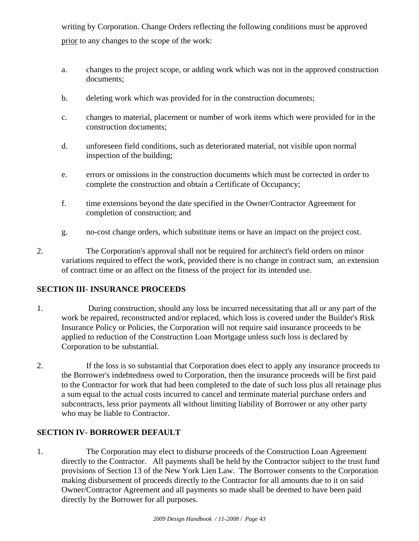writing by Corporation. Change Orders reflecting the following conditions must be approved prior to any changes to the scope of the work:

- a. changes to the project scope, or adding work which was not in the approved construction documents;
- b. deleting work which was provided for in the construction documents;
- c. changes to material, placement or number of work items which were provided for in the construction documents;
- d. unforeseen field conditions, such as deteriorated material, not visible upon normal inspection of the building;
- e. errors or omissions in the construction documents which must be corrected in order to complete the construction and obtain a Certificate of Occupancy;
- f. time extensions beyond the date specified in the Owner/Contractor Agreement for completion of construction; and
- g. no-cost change orders, which substitute items or have an impact on the project cost.
- 2. The Corporation's approval shall not be required for architect's field orders on minor variations required to effect the work, provided there is no change in contract sum, an extension of contract time or an affect on the fitness of the project for its intended use.

#### **SECTION III- INSURANCE PROCEEDS**

- 1. During construction, should any loss be incurred necessitating that all or any part of the work be repaired, reconstructed and/or replaced, which loss is covered under the Builder's Risk Insurance Policy or Policies, the Corporation will not require said insurance proceeds to be applied to reduction of the Construction Loan Mortgage unless such loss is declared by Corporation to be substantial.
- 2. If the loss is so substantial that Corporation does elect to apply any insurance proceeds to the Borrower's indebtedness owed to Corporation, then the insurance proceeds will be first paid to the Contractor for work that had been completed to the date of such loss plus all retainage plus a sum equal to the actual costs incurred to cancel and terminate material purchase orders and subcontracts, less prior payments all without limiting liability of Borrower or any other party who may be liable to Contractor.

#### **SECTION IV- BORROWER DEFAULT**

1. The Corporation may elect to disburse proceeds of the Construction Loan Agreement directly to the Contractor. All payments shall be held by the Contractor subject to the trust fund provisions of Section 13 of the New York Lien Law. The Borrower consents to the Corporation making disbursement of proceeds directly to the Contractor for all amounts due to it on said Owner/Contractor Agreement and all payments so made shall be deemed to have been paid directly by the Borrower for all purposes.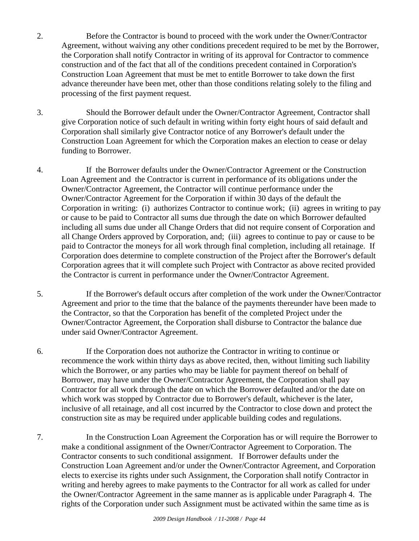- 2. Before the Contractor is bound to proceed with the work under the Owner/Contractor Agreement, without waiving any other conditions precedent required to be met by the Borrower, the Corporation shall notify Contractor in writing of its approval for Contractor to commence construction and of the fact that all of the conditions precedent contained in Corporation's Construction Loan Agreement that must be met to entitle Borrower to take down the first advance thereunder have been met, other than those conditions relating solely to the filing and processing of the first payment request.
- 3. Should the Borrower default under the Owner/Contractor Agreement, Contractor shall give Corporation notice of such default in writing within forty eight hours of said default and Corporation shall similarly give Contractor notice of any Borrower's default under the Construction Loan Agreement for which the Corporation makes an election to cease or delay funding to Borrower.
- 4. If the Borrower defaults under the Owner/Contractor Agreement or the Construction Loan Agreement and the Contractor is current in performance of its obligations under the Owner/Contractor Agreement, the Contractor will continue performance under the Owner/Contractor Agreement for the Corporation if within 30 days of the default the Corporation in writing: (i) authorizes Contractor to continue work; (ii) agrees in writing to pay or cause to be paid to Contractor all sums due through the date on which Borrower defaulted including all sums due under all Change Orders that did not require consent of Corporation and all Change Orders approved by Corporation, and; (iii) agrees to continue to pay or cause to be paid to Contractor the moneys for all work through final completion, including all retainage. If Corporation does determine to complete construction of the Project after the Borrower's default Corporation agrees that it will complete such Project with Contractor as above recited provided the Contractor is current in performance under the Owner/Contractor Agreement.
- 5. If the Borrower's default occurs after completion of the work under the Owner/Contractor Agreement and prior to the time that the balance of the payments thereunder have been made to the Contractor, so that the Corporation has benefit of the completed Project under the Owner/Contractor Agreement, the Corporation shall disburse to Contractor the balance due under said Owner/Contractor Agreement.
- 6. If the Corporation does not authorize the Contractor in writing to continue or recommence the work within thirty days as above recited, then, without limiting such liability which the Borrower, or any parties who may be liable for payment thereof on behalf of Borrower, may have under the Owner/Contractor Agreement, the Corporation shall pay Contractor for all work through the date on which the Borrower defaulted and/or the date on which work was stopped by Contractor due to Borrower's default, whichever is the later, inclusive of all retainage, and all cost incurred by the Contractor to close down and protect the construction site as may be required under applicable building codes and regulations.
- 7. In the Construction Loan Agreement the Corporation has or will require the Borrower to make a conditional assignment of the Owner/Contractor Agreement to Corporation. The Contractor consents to such conditional assignment. If Borrower defaults under the Construction Loan Agreement and/or under the Owner/Contractor Agreement, and Corporation elects to exercise its rights under such Assignment, the Corporation shall notify Contractor in writing and hereby agrees to make payments to the Contractor for all work as called for under the Owner/Contractor Agreement in the same manner as is applicable under Paragraph 4. The rights of the Corporation under such Assignment must be activated within the same time as is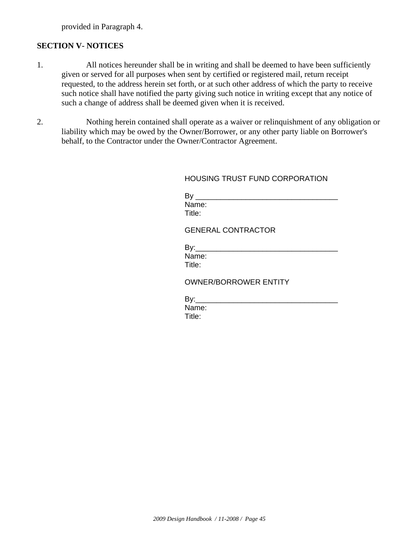provided in Paragraph 4.

#### **SECTION V- NOTICES**

- 1. All notices hereunder shall be in writing and shall be deemed to have been sufficiently given or served for all purposes when sent by certified or registered mail, return receipt requested, to the address herein set forth, or at such other address of which the party to receive such notice shall have notified the party giving such notice in writing except that any notice of such a change of address shall be deemed given when it is received.
- 2. Nothing herein contained shall operate as a waiver or relinquishment of any obligation or liability which may be owed by the Owner/Borrower, or any other party liable on Borrower's behalf, to the Contractor under the Owner/Contractor Agreement.

#### HOUSING TRUST FUND CORPORATION

| ьv     |  |  |
|--------|--|--|
| Name:  |  |  |
| Title: |  |  |

#### GENERAL CONTRACTOR

By:\_\_\_\_\_\_\_\_\_\_\_\_\_\_\_\_\_\_\_\_\_\_\_\_\_\_\_\_\_\_\_\_\_\_ Name: Title:

#### OWNER/BORROWER ENTITY

 $By:$ Name: Title: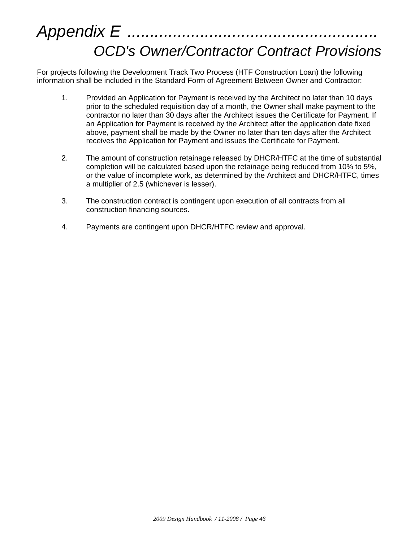# *Appendix E ....................................................... OCD's Owner/Contractor Contract Provisions*

For projects following the Development Track Two Process (HTF Construction Loan) the following information shall be included in the Standard Form of Agreement Between Owner and Contractor:

- 1. Provided an Application for Payment is received by the Architect no later than 10 days prior to the scheduled requisition day of a month, the Owner shall make payment to the contractor no later than 30 days after the Architect issues the Certificate for Payment. If an Application for Payment is received by the Architect after the application date fixed above, payment shall be made by the Owner no later than ten days after the Architect receives the Application for Payment and issues the Certificate for Payment.
- 2. The amount of construction retainage released by DHCR/HTFC at the time of substantial completion will be calculated based upon the retainage being reduced from 10% to 5%, or the value of incomplete work, as determined by the Architect and DHCR/HTFC, times a multiplier of 2.5 (whichever is lesser).
- 3. The construction contract is contingent upon execution of all contracts from all construction financing sources.
- 4. Payments are contingent upon DHCR/HTFC review and approval.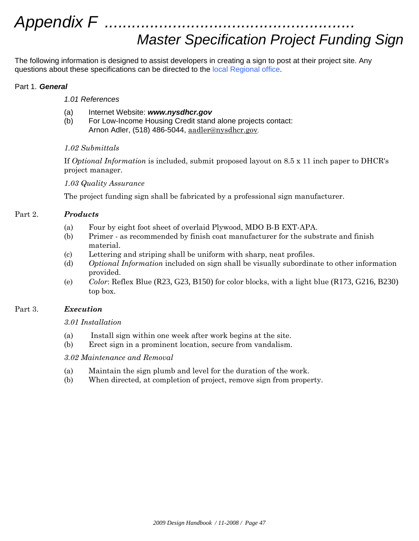# *Appendix F .......................................................*

## *Master Specification Project Funding Sign*

The following information is designed to assist developers in creating a sign to post at their project site. Any questions about these specifications can be directed to the local Regional office.

#### Part 1. *General*

#### *1.01 References*

- (a) Internet Website: *www.nysdhcr.gov*
- (b) For Low-Income Housing Credit stand alone projects contact: Arnon Adler, (518) 486-5044, aadler@nysdhcr.gov.

#### *1.02 Submittals*

If *Optional Information* is included, submit proposed layout on 8.5 x 11 inch paper to DHCR's project manager.

#### *1.03 Quality Assurance*

The project funding sign shall be fabricated by a professional sign manufacturer.

#### Part 2. *Products*

- (a) Four by eight foot sheet of overlaid Plywood, MDO B-B EXT-APA.
- (b) Primer as recommended by finish coat manufacturer for the substrate and finish material.
- (c) Lettering and striping shall be uniform with sharp, neat profiles.
- (d) *Optional Information* included on sign shall be visually subordinate to other information provided.
- (e) *Color*: Reflex Blue (R23, G23, B150) for color blocks, with a light blue (R173, G216, B230) top box.

#### Part 3. *Execution*

#### *3.01 Installation*

- (a) Install sign within one week after work begins at the site.
- (b) Erect sign in a prominent location, secure from vandalism.

#### *3.02 Maintenance and Removal*

- (a) Maintain the sign plumb and level for the duration of the work.
- (b) When directed, at completion of project, remove sign from property.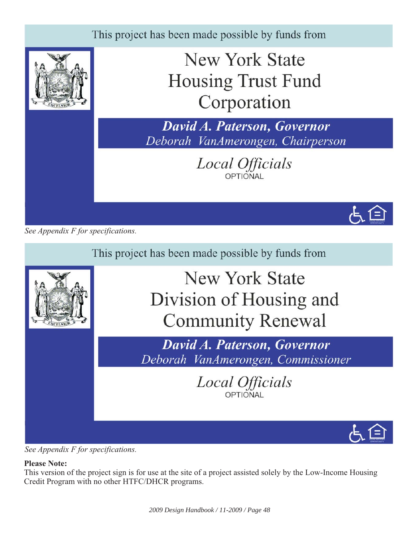

*See Appendix F for specifications.*



*See Appendix F for specifications.*

### **Please Note:**

This version of the project sign is for use at the site of a project assisted solely by the Low-Income Housing Credit Program with no other HTFC/DHCR programs.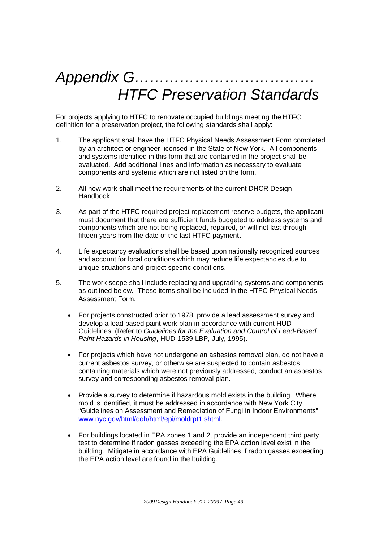# *Appendix G……………………………… HTFC Preservation Standards*

For projects applying to HTFC to renovate occupied buildings meeting the HTFC definition for a preservation project, the following standards shall apply:

- 1. The applicant shall have the HTFC Physical Needs Assessment Form completed by an architect or engineer licensed in the State of New York. All components and systems identified in this form that are contained in the project shall be evaluated. Add additional lines and information as necessary to evaluate components and systems which are not listed on the form.
- 2. All new work shall meet the requirements of the current DHCR Design Handbook.
- 3. As part of the HTFC required project replacement reserve budgets, the applicant must document that there are sufficient funds budgeted to address systems and components which are not being replaced, repaired, or will not last through fifteen years from the date of the last HTFC payment.
- 4. Life expectancy evaluations shall be based upon nationally recognized sources and account for local conditions which may reduce life expectancies due to unique situations and project specific conditions.
- 5. The work scope shall include replacing and upgrading systems and components as outlined below. These items shall be included in the HTFC Physical Needs Assessment Form.
	- For projects constructed prior to 1978, provide a lead assessment survey and develop a lead based paint work plan in accordance with current HUD Guidelines. (Refer to *Guidelines for the Evaluation and Control of Lead-Based Paint Hazards in Housing*, HUD-1539-LBP, July, 1995).
	- For projects which have not undergone an asbestos removal plan, do not have a current asbestos survey, or otherwise are suspected to contain asbestos containing materials which were not previously addressed, conduct an asbestos survey and corresponding asbestos removal plan.
	- Provide a survey to determine if hazardous mold exists in the building. Where mold is identified, it must be addressed in accordance with New York City "Guidelines on Assessment and Remediation of Fungi in Indoor Environments", www.nyc.gov/html/doh/html/epi/moldrpt1.shtml.
	- For buildings located in EPA zones 1 and 2, provide an independent third party test to determine if radon gasses exceeding the EPA action level exist in the building. Mitigate in accordance with EPA Guidelines if radon gasses exceeding the EPA action level are found in the building.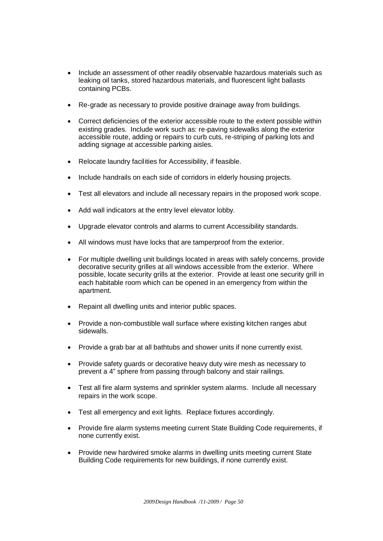- Include an assessment of other readily observable hazardous materials such as leaking oil tanks, stored hazardous materials, and fluorescent light ballasts containing PCBs.
- Re-grade as necessary to provide positive drainage away from buildings.
- Correct deficiencies of the exterior accessible route to the extent possible within existing grades. Include work such as: re-paving sidewalks along the exterior accessible route, adding or repairs to curb cuts, re-striping of parking lots and adding signage at accessible parking aisles.
- Relocate laundry facilities for Accessibility, if feasible.
- Include handrails on each side of corridors in elderly housing projects.
- Test all elevators and include all necessary repairs in the proposed work scope.
- Add wall indicators at the entry level elevator lobby.
- Upgrade elevator controls and alarms to current Accessibility standards.
- All windows must have locks that are tamperproof from the exterior.
- For multiple dwelling unit buildings located in areas with safely concerns, provide decorative security grilles at all windows accessible from the exterior. Where possible, locate security grills at the exterior. Provide at least one security grill in each habitable room which can be opened in an emergency from within the apartment.
- Repaint all dwelling units and interior public spaces.
- Provide a non-combustible wall surface where existing kitchen ranges abut sidewalls.
- Provide a grab bar at all bathtubs and shower units if none currently exist.
- Provide safety guards or decorative heavy duty wire mesh as necessary to prevent a 4" sphere from passing through balcony and stair railings*.*
- Test all fire alarm systems and sprinkler system alarms. Include all necessary repairs in the work scope.
- Test all emergency and exit lights. Replace fixtures accordingly.
- Provide fire alarm systems meeting current State Building Code requirements, if none currently exist.
- Provide new hardwired smoke alarms in dwelling units meeting current State Building Code requirements for new buildings, if none currently exist.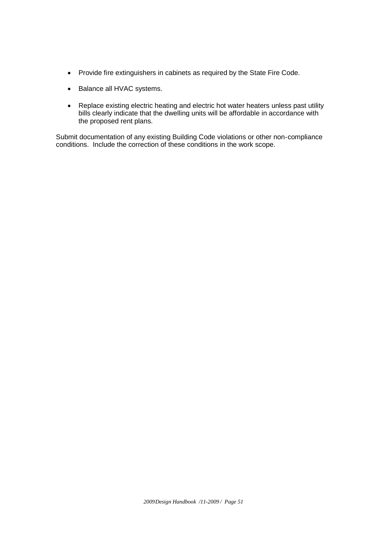- Provide fire extinguishers in cabinets as required by the State Fire Code.
- Balance all HVAC systems.
- Replace existing electric heating and electric hot water heaters unless past utility bills clearly indicate that the dwelling units will be affordable in accordance with the proposed rent plans.

Submit documentation of any existing Building Code violations or other non-compliance conditions. Include the correction of these conditions in the work scope.